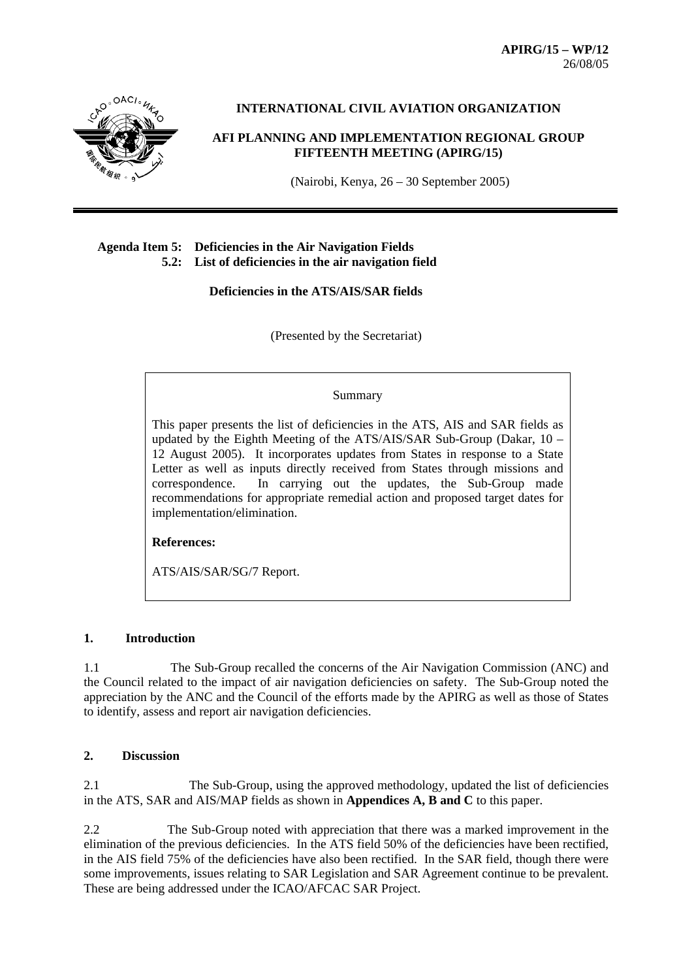**APIRG/15 – WP/12**  26/08/05



**INTERNATIONAL CIVIL AVIATION ORGANIZATION** 

**AFI PLANNING AND IMPLEMENTATION REGIONAL GROUP FIFTEENTH MEETING (APIRG/15)**

(Nairobi, Kenya, 26 – 30 September 2005)

### **Agenda Item 5: Deficiencies in the Air Navigation Fields 5.2: List of deficiencies in the air navigation field**

 **Deficiencies in the ATS/AIS/SAR fields** 

(Presented by the Secretariat)

#### Summary

This paper presents the list of deficiencies in the ATS, AIS and SAR fields as updated by the Eighth Meeting of the ATS/AIS/SAR Sub-Group (Dakar, 10 – 12 August 2005). It incorporates updates from States in response to a State Letter as well as inputs directly received from States through missions and correspondence. In carrying out the updates, the Sub-Group made recommendations for appropriate remedial action and proposed target dates for implementation/elimination.

**References:**

ATS/AIS/SAR/SG/7 Report.

### **1. Introduction**

1.1 The Sub-Group recalled the concerns of the Air Navigation Commission (ANC) and the Council related to the impact of air navigation deficiencies on safety. The Sub-Group noted the appreciation by the ANC and the Council of the efforts made by the APIRG as well as those of States to identify, assess and report air navigation deficiencies.

### **2. Discussion**

2.1 The Sub-Group, using the approved methodology, updated the list of deficiencies in the ATS, SAR and AIS/MAP fields as shown in **Appendices A, B and C** to this paper.

2.2 The Sub-Group noted with appreciation that there was a marked improvement in the elimination of the previous deficiencies. In the ATS field 50% of the deficiencies have been rectified, in the AIS field 75% of the deficiencies have also been rectified. In the SAR field, though there were some improvements, issues relating to SAR Legislation and SAR Agreement continue to be prevalent. These are being addressed under the ICAO/AFCAC SAR Project.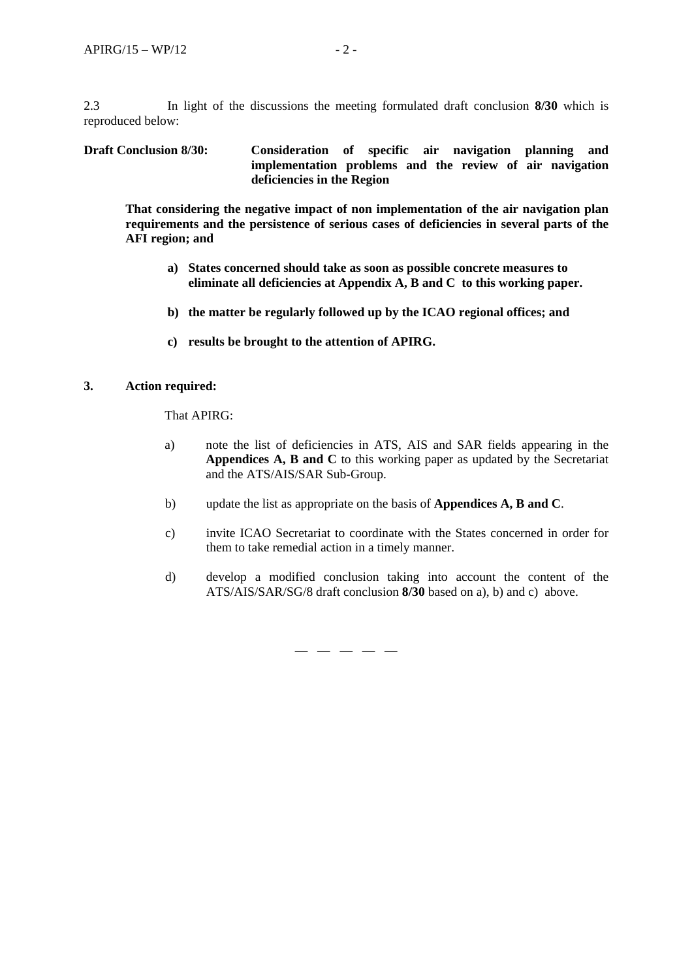2.3 In light of the discussions the meeting formulated draft conclusion **8/30** which is reproduced below:

### **Draft Conclusion 8/30: Consideration of specific air navigation planning and implementation problems and the review of air navigation deficiencies in the Region**

**That considering the negative impact of non implementation of the air navigation plan requirements and the persistence of serious cases of deficiencies in several parts of the AFI region; and**

- **a) States concerned should take as soon as possible concrete measures to eliminate all deficiencies at Appendix A, B and C to this working paper.**
- **b) the matter be regularly followed up by the ICAO regional offices; and**
- **c) results be brought to the attention of APIRG.**

### **3. Action required:**

That APIRG:

- a) note the list of deficiencies in ATS, AIS and SAR fields appearing in the **Appendices A, B and C** to this working paper as updated by the Secretariat and the ATS/AIS/SAR Sub-Group.
- b) update the list as appropriate on the basis of **Appendices A, B and C**.

— — — — —

- c) invite ICAO Secretariat to coordinate with the States concerned in order for them to take remedial action in a timely manner.
- d) develop a modified conclusion taking into account the content of the ATS/AIS/SAR/SG/8 draft conclusion **8/30** based on a), b) and c) above.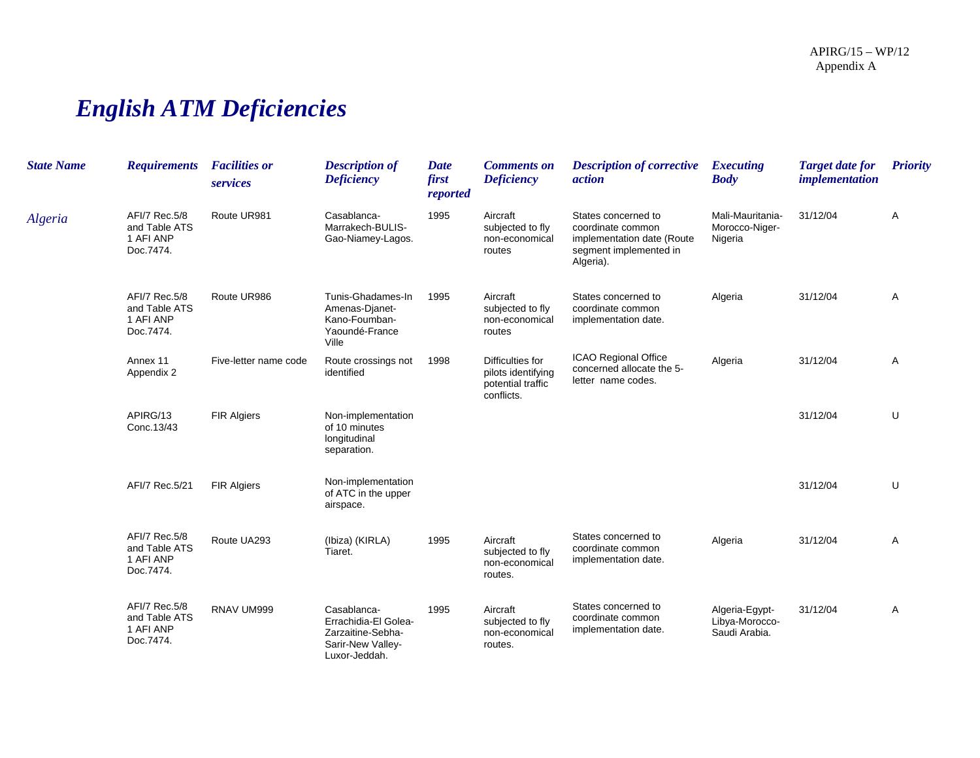# *English ATM Deficiencies*

| <b>State Name</b> | <b>Requirements</b>                                      | <b>Facilities or</b><br>services | <b>Description of</b><br><b>Deficiency</b>                                                     | <b>Date</b><br>first<br>reported | <b>Comments on</b><br><b>Deficiency</b>                                   | <b>Description of corrective</b><br><i>action</i>                                                             | <b>Executing</b><br><b>Body</b>                   | <b>Target date for</b><br><i>implementation</i> | <b>Priority</b> |
|-------------------|----------------------------------------------------------|----------------------------------|------------------------------------------------------------------------------------------------|----------------------------------|---------------------------------------------------------------------------|---------------------------------------------------------------------------------------------------------------|---------------------------------------------------|-------------------------------------------------|-----------------|
| Algeria           | AFI/7 Rec.5/8<br>and Table ATS<br>1 AFI ANP<br>Doc.7474. | Route UR981                      | Casablanca-<br>Marrakech-BULIS-<br>Gao-Niamey-Lagos.                                           | 1995                             | Aircraft<br>subjected to fly<br>non-economical<br>routes                  | States concerned to<br>coordinate common<br>implementation date (Route<br>segment implemented in<br>Algeria). | Mali-Mauritania-<br>Morocco-Niger-<br>Nigeria     | 31/12/04                                        | Α               |
|                   | AFI/7 Rec.5/8<br>and Table ATS<br>1 AFI ANP<br>Doc.7474. | Route UR986                      | Tunis-Ghadames-In<br>Amenas-Djanet-<br>Kano-Foumban-<br>Yaoundé-France<br>Ville                | 1995                             | Aircraft<br>subjected to fly<br>non-economical<br>routes                  | States concerned to<br>coordinate common<br>implementation date.                                              | Algeria                                           | 31/12/04                                        | Α               |
|                   | Annex 11<br>Appendix 2                                   | Five-letter name code            | Route crossings not<br>identified                                                              | 1998                             | Difficulties for<br>pilots identifying<br>potential traffic<br>conflicts. | <b>ICAO Regional Office</b><br>concerned allocate the 5-<br>letter name codes.                                | Algeria                                           | 31/12/04                                        | Α               |
|                   | APIRG/13<br>Conc.13/43                                   | <b>FIR Algiers</b>               | Non-implementation<br>of 10 minutes<br>longitudinal<br>separation.                             |                                  |                                                                           |                                                                                                               |                                                   | 31/12/04                                        | U               |
|                   | AFI/7 Rec.5/21                                           | <b>FIR Algiers</b>               | Non-implementation<br>of ATC in the upper<br>airspace.                                         |                                  |                                                                           |                                                                                                               |                                                   | 31/12/04                                        | U               |
|                   | AFI/7 Rec.5/8<br>and Table ATS<br>1 AFI ANP<br>Doc.7474. | Route UA293                      | (Ibiza) (KIRLA)<br>Tiaret.                                                                     | 1995                             | Aircraft<br>subjected to fly<br>non-economical<br>routes.                 | States concerned to<br>coordinate common<br>implementation date.                                              | Algeria                                           | 31/12/04                                        | Α               |
|                   | AFI/7 Rec.5/8<br>and Table ATS<br>1 AFI ANP<br>Doc.7474. | RNAV UM999                       | Casablanca-<br>Errachidia-El Golea-<br>Zarzaitine-Sebha-<br>Sarir-New Valley-<br>Luxor-Jeddah. | 1995                             | Aircraft<br>subjected to fly<br>non-economical<br>routes.                 | States concerned to<br>coordinate common<br>implementation date.                                              | Algeria-Egypt-<br>Libya-Morocco-<br>Saudi Arabia. | 31/12/04                                        | Α               |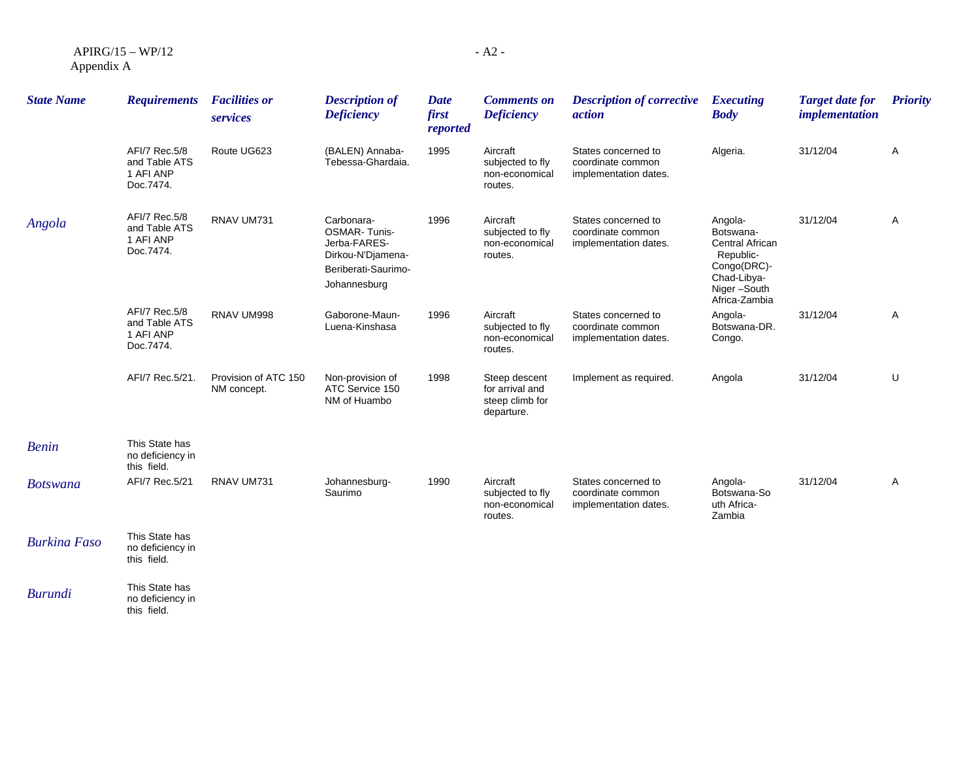| $APIRG/15-WP/12$ |  |
|------------------|--|
| Appendix A       |  |

| <b>State Name</b>   | <b>Requirements</b>                                      | <b>Facilities or</b><br>services    | <b>Description of</b><br><b>Deficiency</b>                                                                    | <b>Date</b><br>first<br>reported | <b>Comments on</b><br><b>Deficiency</b>                           | <b>Description of corrective</b><br><i>action</i>                 | <b>Executing</b><br><b>Body</b>                                                                                    | <b>Target date for</b><br><i>implementation</i> | <b>Priority</b> |
|---------------------|----------------------------------------------------------|-------------------------------------|---------------------------------------------------------------------------------------------------------------|----------------------------------|-------------------------------------------------------------------|-------------------------------------------------------------------|--------------------------------------------------------------------------------------------------------------------|-------------------------------------------------|-----------------|
|                     | AFI/7 Rec.5/8<br>and Table ATS<br>1 AFI ANP<br>Doc.7474. | Route UG623                         | (BALEN) Annaba-<br>Tebessa-Ghardaia.                                                                          | 1995                             | Aircraft<br>subjected to fly<br>non-economical<br>routes.         | States concerned to<br>coordinate common<br>implementation dates. | Algeria.                                                                                                           | 31/12/04                                        | Α               |
| Angola              | AFI/7 Rec.5/8<br>and Table ATS<br>1 AFI ANP<br>Doc.7474. | RNAV UM731                          | Carbonara-<br><b>OSMAR-Tunis-</b><br>Jerba-FARES-<br>Dirkou-N'Djamena-<br>Beriberati-Saurimo-<br>Johannesburg | 1996                             | Aircraft<br>subjected to fly<br>non-economical<br>routes.         | States concerned to<br>coordinate common<br>implementation dates. | Angola-<br>Botswana-<br>Central African<br>Republic-<br>Congo(DRC)-<br>Chad-Libya-<br>Niger-South<br>Africa-Zambia | 31/12/04                                        | Α               |
|                     | AFI/7 Rec.5/8<br>and Table ATS<br>1 AFI ANP<br>Doc.7474. | RNAV UM998                          | Gaborone-Maun-<br>Luena-Kinshasa                                                                              | 1996                             | Aircraft<br>subjected to fly<br>non-economical<br>routes.         | States concerned to<br>coordinate common<br>implementation dates. | Angola-<br>Botswana-DR.<br>Congo.                                                                                  | 31/12/04                                        | Α               |
|                     | AFI/7 Rec.5/21.                                          | Provision of ATC 150<br>NM concept. | Non-provision of<br>ATC Service 150<br>NM of Huambo                                                           | 1998                             | Steep descent<br>for arrival and<br>steep climb for<br>departure. | Implement as required.                                            | Angola                                                                                                             | 31/12/04                                        | U               |
| <b>Benin</b>        | This State has<br>no deficiency in<br>this field.        |                                     |                                                                                                               |                                  |                                                                   |                                                                   |                                                                                                                    |                                                 |                 |
| <b>Botswana</b>     | AFI/7 Rec.5/21                                           | RNAV UM731                          | Johannesburg-<br>Saurimo                                                                                      | 1990                             | Aircraft<br>subjected to fly<br>non-economical<br>routes.         | States concerned to<br>coordinate common<br>implementation dates. | Angola-<br>Botswana-So<br>uth Africa-<br>Zambia                                                                    | 31/12/04                                        | Α               |
| <b>Burkina Faso</b> | This State has<br>no deficiency in<br>this field.        |                                     |                                                                                                               |                                  |                                                                   |                                                                   |                                                                                                                    |                                                 |                 |
| <b>Burundi</b>      | This State has<br>no deficiency in<br>this field.        |                                     |                                                                                                               |                                  |                                                                   |                                                                   |                                                                                                                    |                                                 |                 |

- A2 -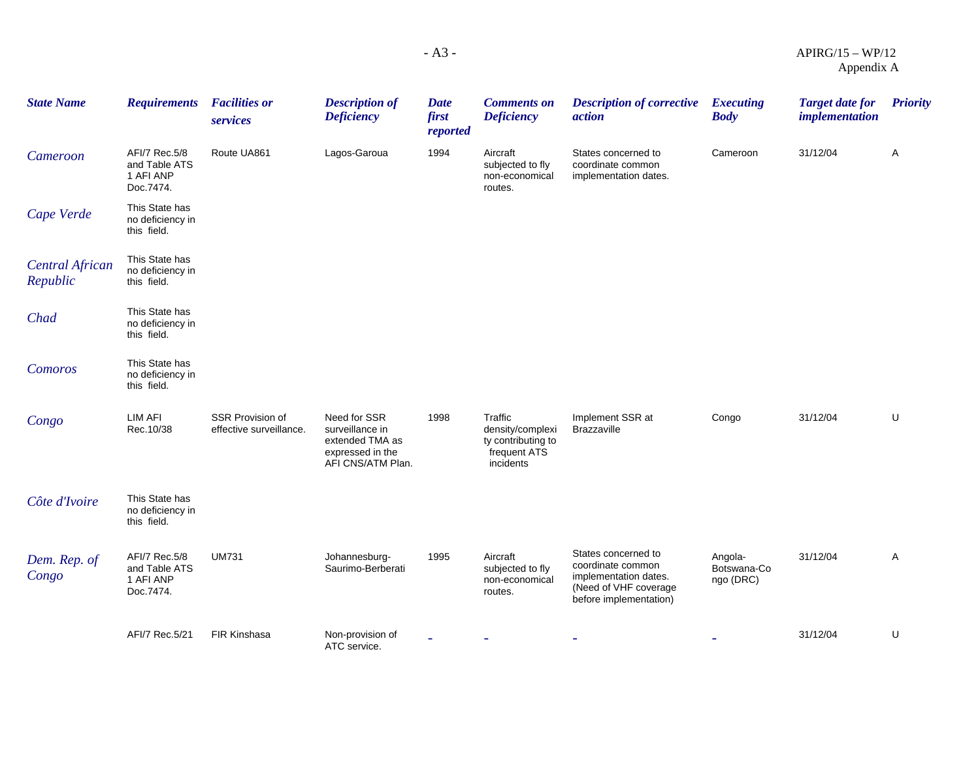| <b>State Name</b>                  | <b>Requirements</b>                                      | <b>Facilities or</b>                        | <b>Description of</b>                                                                       | <b>Date</b>       | <b>Comments on</b>                                                             | <b>Description of corrective</b>                                                                                     | <b>Executing</b>                    | <b>Target date for</b> | <b>Priority</b> |
|------------------------------------|----------------------------------------------------------|---------------------------------------------|---------------------------------------------------------------------------------------------|-------------------|--------------------------------------------------------------------------------|----------------------------------------------------------------------------------------------------------------------|-------------------------------------|------------------------|-----------------|
|                                    |                                                          | services                                    | <b>Deficiency</b>                                                                           | first<br>reported | <b>Deficiency</b>                                                              | action                                                                                                               | <b>Body</b>                         | <i>implementation</i>  |                 |
| Cameroon                           | AFI/7 Rec.5/8<br>and Table ATS<br>1 AFI ANP<br>Doc.7474. | Route UA861                                 | Lagos-Garoua                                                                                | 1994              | Aircraft<br>subjected to fly<br>non-economical<br>routes.                      | States concerned to<br>coordinate common<br>implementation dates.                                                    | Cameroon                            | 31/12/04               | Α               |
| Cape Verde                         | This State has<br>no deficiency in<br>this field.        |                                             |                                                                                             |                   |                                                                                |                                                                                                                      |                                     |                        |                 |
| <b>Central African</b><br>Republic | This State has<br>no deficiency in<br>this field.        |                                             |                                                                                             |                   |                                                                                |                                                                                                                      |                                     |                        |                 |
| Chad                               | This State has<br>no deficiency in<br>this field.        |                                             |                                                                                             |                   |                                                                                |                                                                                                                      |                                     |                        |                 |
| Comoros                            | This State has<br>no deficiency in<br>this field.        |                                             |                                                                                             |                   |                                                                                |                                                                                                                      |                                     |                        |                 |
| Congo                              | LIM AFI<br>Rec.10/38                                     | SSR Provision of<br>effective surveillance. | Need for SSR<br>surveillance in<br>extended TMA as<br>expressed in the<br>AFI CNS/ATM Plan. | 1998              | Traffic<br>density/complexi<br>ty contributing to<br>frequent ATS<br>incidents | Implement SSR at<br><b>Brazzaville</b>                                                                               | Congo                               | 31/12/04               | U               |
| Côte d'Ivoire                      | This State has<br>no deficiency in<br>this field.        |                                             |                                                                                             |                   |                                                                                |                                                                                                                      |                                     |                        |                 |
| Dem. Rep. of<br>Congo              | AFI/7 Rec.5/8<br>and Table ATS<br>1 AFI ANP<br>Doc.7474. | <b>UM731</b>                                | Johannesburg-<br>Saurimo-Berberati                                                          | 1995              | Aircraft<br>subjected to fly<br>non-economical<br>routes.                      | States concerned to<br>coordinate common<br>implementation dates.<br>(Need of VHF coverage<br>before implementation) | Angola-<br>Botswana-Co<br>ngo (DRC) | 31/12/04               | Α               |
|                                    | AFI/7 Rec.5/21                                           | <b>FIR Kinshasa</b>                         | Non-provision of<br>ATC service.                                                            |                   |                                                                                |                                                                                                                      |                                     | 31/12/04               | U               |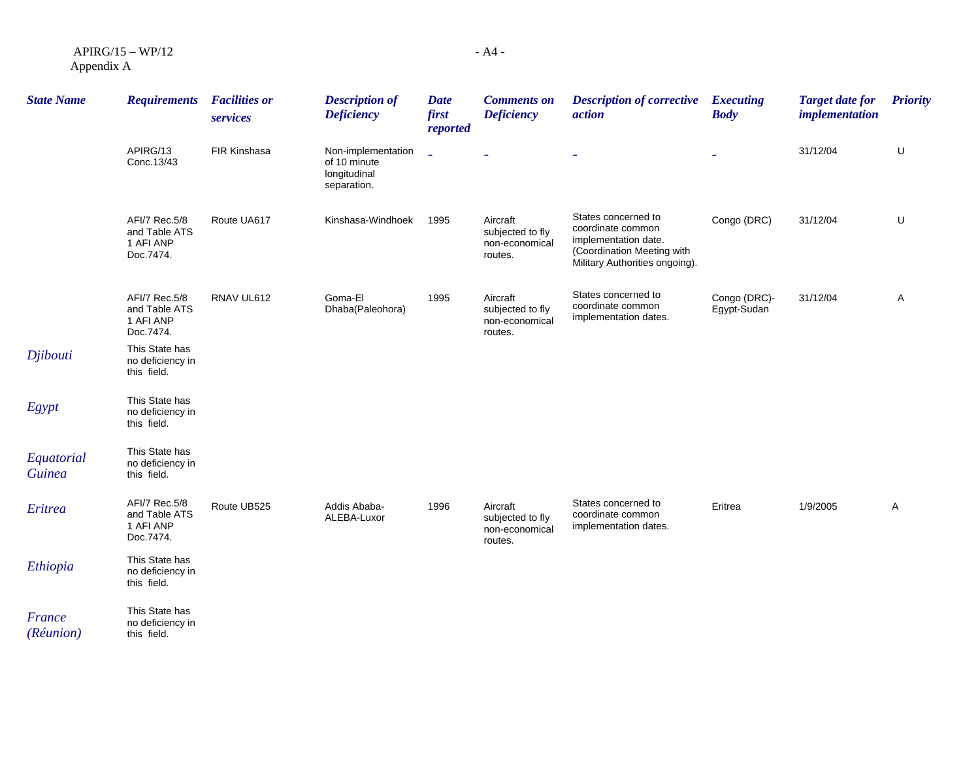APIRG/15 – WP/12 Appendix A

| <b>State Name</b>           | <b>Requirements</b>                                      | <b>Facilities or</b><br>services | <b>Description of</b><br><b>Deficiency</b>                        | <b>Date</b><br>first<br>reported | <b>Comments on</b><br><b>Deficiency</b>                   | <b>Description of corrective</b><br>action                                                                                       | <b>Executing</b><br><b>Body</b> | <b>Target date for</b><br><i>implementation</i> | <b>Priority</b> |
|-----------------------------|----------------------------------------------------------|----------------------------------|-------------------------------------------------------------------|----------------------------------|-----------------------------------------------------------|----------------------------------------------------------------------------------------------------------------------------------|---------------------------------|-------------------------------------------------|-----------------|
|                             | APIRG/13<br>Conc.13/43                                   | FIR Kinshasa                     | Non-implementation<br>of 10 minute<br>longitudinal<br>separation. | L                                |                                                           |                                                                                                                                  |                                 | 31/12/04                                        | U               |
|                             | AFI/7 Rec.5/8<br>and Table ATS<br>1 AFI ANP<br>Doc.7474. | Route UA617                      | Kinshasa-Windhoek                                                 | 1995                             | Aircraft<br>subjected to fly<br>non-economical<br>routes. | States concerned to<br>coordinate common<br>implementation date.<br>(Coordination Meeting with<br>Military Authorities ongoing). | Congo (DRC)                     | 31/12/04                                        | U               |
|                             | AFI/7 Rec.5/8<br>and Table ATS<br>1 AFI ANP<br>Doc.7474. | RNAV UL612                       | Goma-El<br>Dhaba(Paleohora)                                       | 1995                             | Aircraft<br>subjected to fly<br>non-economical<br>routes. | States concerned to<br>coordinate common<br>implementation dates.                                                                | Congo (DRC)-<br>Egypt-Sudan     | 31/12/04                                        | A               |
| Djibouti                    | This State has<br>no deficiency in<br>this field.        |                                  |                                                                   |                                  |                                                           |                                                                                                                                  |                                 |                                                 |                 |
| Egypt                       | This State has<br>no deficiency in<br>this field.        |                                  |                                                                   |                                  |                                                           |                                                                                                                                  |                                 |                                                 |                 |
| Equatorial<br><b>Guinea</b> | This State has<br>no deficiency in<br>this field.        |                                  |                                                                   |                                  |                                                           |                                                                                                                                  |                                 |                                                 |                 |
| Eritrea                     | AFI/7 Rec.5/8<br>and Table ATS<br>1 AFI ANP<br>Doc.7474. | Route UB525                      | Addis Ababa-<br>ALEBA-Luxor                                       | 1996                             | Aircraft<br>subjected to fly<br>non-economical<br>routes. | States concerned to<br>coordinate common<br>implementation dates.                                                                | Eritrea                         | 1/9/2005                                        | Α               |
| Ethiopia                    | This State has<br>no deficiency in<br>this field.        |                                  |                                                                   |                                  |                                                           |                                                                                                                                  |                                 |                                                 |                 |
| France<br>(Réunion)         | This State has<br>no deficiency in<br>this field.        |                                  |                                                                   |                                  |                                                           |                                                                                                                                  |                                 |                                                 |                 |

- A4 -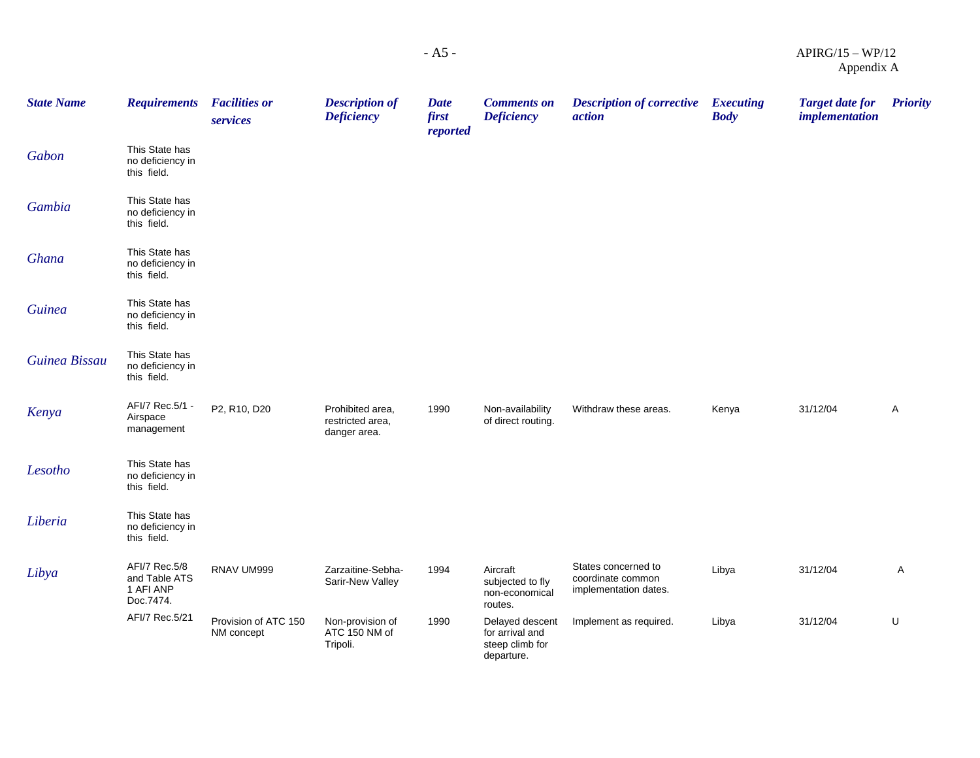| - A5 - | $APIRG/15 - WP/12$ |
|--------|--------------------|
|        | Appendix A         |

| <b>State Name</b> | <b>Requirements</b>                                      | <b>Facilities or</b><br>services   | <b>Description of</b><br><b>Deficiency</b>           | <b>Date</b><br>first<br>reported | <b>Comments on</b><br><b>Deficiency</b>                             | <b>Description of corrective</b> Executing<br>action              | <b>Body</b> | <b>Target date for</b><br><i>implementation</i> | <b>Priority</b> |
|-------------------|----------------------------------------------------------|------------------------------------|------------------------------------------------------|----------------------------------|---------------------------------------------------------------------|-------------------------------------------------------------------|-------------|-------------------------------------------------|-----------------|
| Gabon             | This State has<br>no deficiency in<br>this field.        |                                    |                                                      |                                  |                                                                     |                                                                   |             |                                                 |                 |
| Gambia            | This State has<br>no deficiency in<br>this field.        |                                    |                                                      |                                  |                                                                     |                                                                   |             |                                                 |                 |
| Ghana             | This State has<br>no deficiency in<br>this field.        |                                    |                                                      |                                  |                                                                     |                                                                   |             |                                                 |                 |
| <b>Guinea</b>     | This State has<br>no deficiency in<br>this field.        |                                    |                                                      |                                  |                                                                     |                                                                   |             |                                                 |                 |
| Guinea Bissau     | This State has<br>no deficiency in<br>this field.        |                                    |                                                      |                                  |                                                                     |                                                                   |             |                                                 |                 |
| Kenya             | AFI/7 Rec.5/1 -<br>Airspace<br>management                | P2, R10, D20                       | Prohibited area,<br>restricted area,<br>danger area. | 1990                             | Non-availability<br>of direct routing.                              | Withdraw these areas.                                             | Kenya       | 31/12/04                                        | A               |
| Lesotho           | This State has<br>no deficiency in<br>this field.        |                                    |                                                      |                                  |                                                                     |                                                                   |             |                                                 |                 |
| Liberia           | This State has<br>no deficiency in<br>this field.        |                                    |                                                      |                                  |                                                                     |                                                                   |             |                                                 |                 |
| Libya             | AFI/7 Rec.5/8<br>and Table ATS<br>1 AFI ANP<br>Doc.7474. | RNAV UM999                         | Zarzaitine-Sebha-<br>Sarir-New Valley                | 1994                             | Aircraft<br>subjected to fly<br>non-economical<br>routes.           | States concerned to<br>coordinate common<br>implementation dates. | Libya       | 31/12/04                                        | A               |
|                   | AFI/7 Rec.5/21                                           | Provision of ATC 150<br>NM concept | Non-provision of<br>ATC 150 NM of<br>Tripoli.        | 1990                             | Delayed descent<br>for arrival and<br>steep climb for<br>departure. | Implement as required.                                            | Libya       | 31/12/04                                        | U               |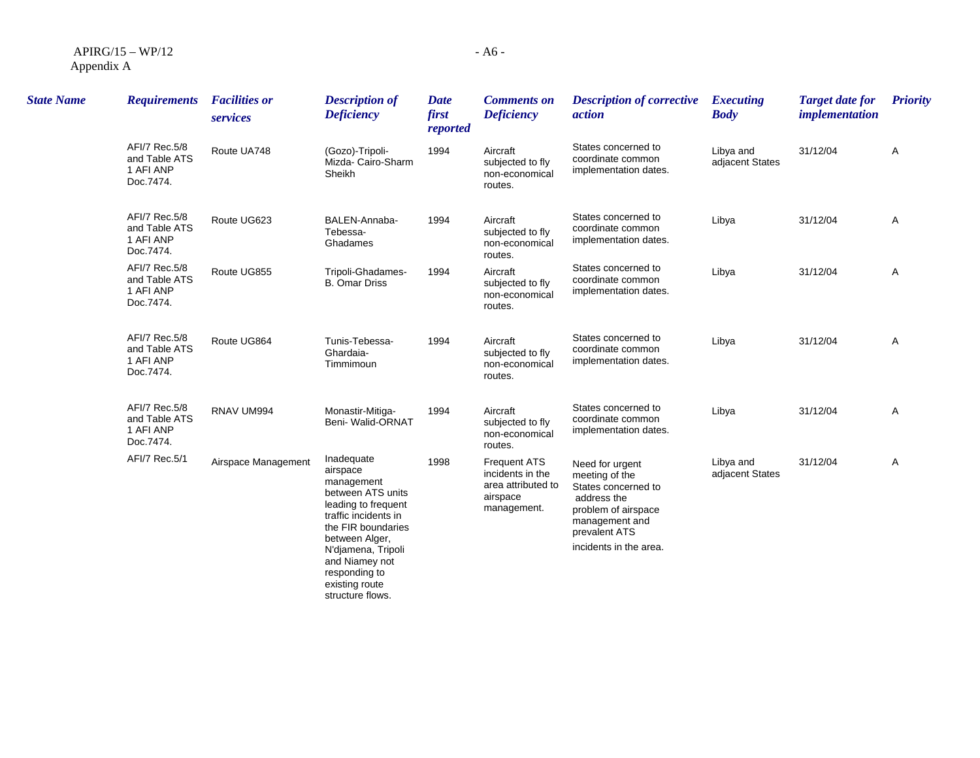| $APIRG/15-WP/12$ |  |
|------------------|--|
| Appendix A       |  |

| <b>State Name</b> | <b>Requirements</b>                                      | <b>Facilities or</b><br>services | <b>Description of</b><br><b>Deficiency</b>                                                                                                                                                                                                      | <b>Date</b><br>first<br>reported | <b>Comments on</b><br><b>Deficiency</b>                                                  | <b>Description of corrective</b><br><i>action</i>                                                                                                           | <b>Executing</b><br><b>Body</b> | <b>Target date for</b><br><i>implementation</i> | <b>Priority</b> |
|-------------------|----------------------------------------------------------|----------------------------------|-------------------------------------------------------------------------------------------------------------------------------------------------------------------------------------------------------------------------------------------------|----------------------------------|------------------------------------------------------------------------------------------|-------------------------------------------------------------------------------------------------------------------------------------------------------------|---------------------------------|-------------------------------------------------|-----------------|
|                   | AFI/7 Rec.5/8<br>and Table ATS<br>1 AFI ANP<br>Doc.7474. | Route UA748                      | (Gozo)-Tripoli-<br>Mizda- Cairo-Sharm<br>Sheikh                                                                                                                                                                                                 | 1994                             | Aircraft<br>subjected to fly<br>non-economical<br>routes.                                | States concerned to<br>coordinate common<br>implementation dates.                                                                                           | Libya and<br>adjacent States    | 31/12/04                                        | Α               |
|                   | AFI/7 Rec.5/8<br>and Table ATS<br>1 AFI ANP<br>Doc.7474. | Route UG623                      | BALEN-Annaba-<br>Tebessa-<br>Ghadames                                                                                                                                                                                                           | 1994                             | Aircraft<br>subjected to fly<br>non-economical<br>routes.                                | States concerned to<br>coordinate common<br>implementation dates.                                                                                           | Libya                           | 31/12/04                                        | Α               |
|                   | AFI/7 Rec.5/8<br>and Table ATS<br>1 AFI ANP<br>Doc.7474. | Route UG855                      | Tripoli-Ghadames-<br><b>B.</b> Omar Driss                                                                                                                                                                                                       | 1994                             | Aircraft<br>subjected to fly<br>non-economical<br>routes.                                | States concerned to<br>coordinate common<br>implementation dates.                                                                                           | Libya                           | 31/12/04                                        | Α               |
|                   | AFI/7 Rec.5/8<br>and Table ATS<br>1 AFI ANP<br>Doc.7474. | Route UG864                      | Tunis-Tebessa-<br>Ghardaia-<br>Timmimoun                                                                                                                                                                                                        | 1994                             | Aircraft<br>subjected to fly<br>non-economical<br>routes.                                | States concerned to<br>coordinate common<br>implementation dates.                                                                                           | Libya                           | 31/12/04                                        | Α               |
|                   | AFI/7 Rec.5/8<br>and Table ATS<br>1 AFI ANP<br>Doc.7474. | RNAV UM994                       | Monastir-Mitiga-<br>Beni- Walid-ORNAT                                                                                                                                                                                                           | 1994                             | Aircraft<br>subjected to fly<br>non-economical<br>routes.                                | States concerned to<br>coordinate common<br>implementation dates.                                                                                           | Libya                           | 31/12/04                                        | A               |
|                   | AFI/7 Rec.5/1                                            | Airspace Management              | Inadequate<br>airspace<br>management<br>between ATS units<br>leading to frequent<br>traffic incidents in<br>the FIR boundaries<br>between Alger,<br>N'djamena, Tripoli<br>and Niamey not<br>responding to<br>existing route<br>structure flows. | 1998                             | <b>Frequent ATS</b><br>incidents in the<br>area attributed to<br>airspace<br>management. | Need for urgent<br>meeting of the<br>States concerned to<br>address the<br>problem of airspace<br>management and<br>prevalent ATS<br>incidents in the area. | Libya and<br>adjacent States    | 31/12/04                                        | Α               |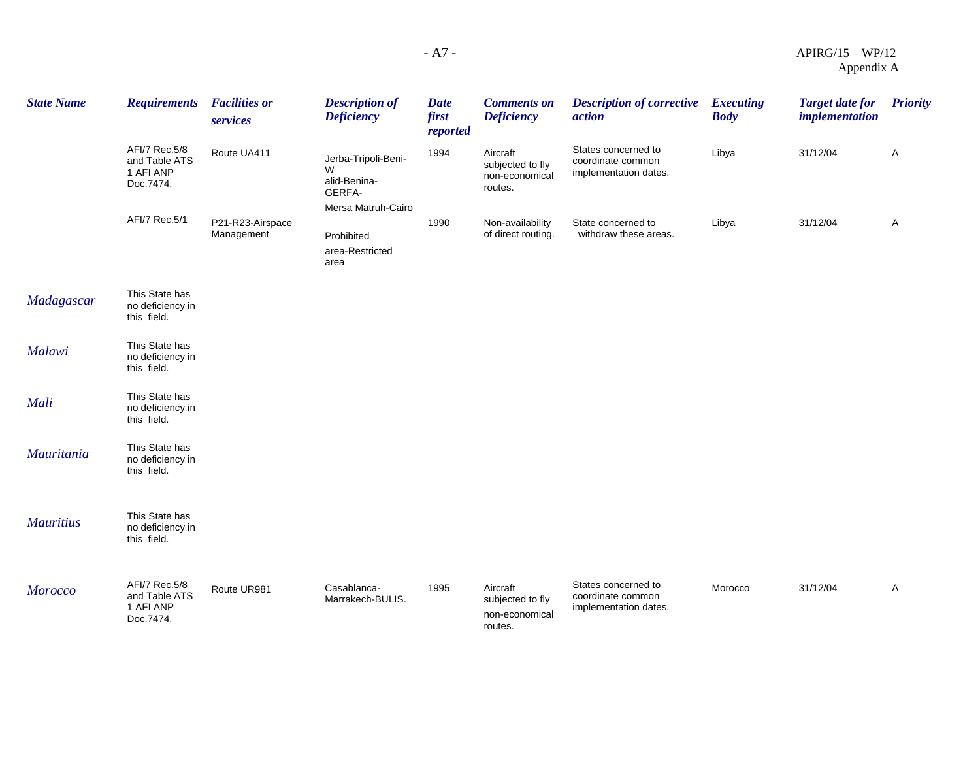### - A7 - APIRG/15 – WP/12 Appendix A

| <b>State Name</b> | <b>Requirements</b>                                      | <b>Facilities or</b><br>services | <b>Description of</b><br><b>Deficiency</b>                               | <b>Date</b><br>first<br>reported | <b>Comments on</b><br><b>Deficiency</b>                   | <b>Description of corrective</b><br>action                        | <b>Executing</b><br><b>Body</b> | <b>Target date for</b><br>implementation | <b>Priority</b> |
|-------------------|----------------------------------------------------------|----------------------------------|--------------------------------------------------------------------------|----------------------------------|-----------------------------------------------------------|-------------------------------------------------------------------|---------------------------------|------------------------------------------|-----------------|
|                   | AFI/7 Rec.5/8<br>and Table ATS<br>1 AFI ANP<br>Doc.7474. | Route UA411                      | Jerba-Tripoli-Beni-<br>W<br>alid-Benina-<br>GERFA-<br>Mersa Matruh-Cairo | 1994                             | Aircraft<br>subjected to fly<br>non-economical<br>routes. | States concerned to<br>coordinate common<br>implementation dates. | Libya                           | 31/12/04                                 | A               |
|                   | AFI/7 Rec.5/1                                            | P21-R23-Airspace<br>Management   | Prohibited<br>area-Restricted<br>area                                    | 1990                             | Non-availability<br>of direct routing.                    | State concerned to<br>withdraw these areas.                       | Libya                           | 31/12/04                                 | A               |
| Madagascar        | This State has<br>no deficiency in<br>this field.        |                                  |                                                                          |                                  |                                                           |                                                                   |                                 |                                          |                 |
| Malawi            | This State has<br>no deficiency in<br>this field.        |                                  |                                                                          |                                  |                                                           |                                                                   |                                 |                                          |                 |
| Mali              | This State has<br>no deficiency in<br>this field.        |                                  |                                                                          |                                  |                                                           |                                                                   |                                 |                                          |                 |
| Mauritania        | This State has<br>no deficiency in<br>this field.        |                                  |                                                                          |                                  |                                                           |                                                                   |                                 |                                          |                 |
| <b>Mauritius</b>  | This State has<br>no deficiency in<br>this field.        |                                  |                                                                          |                                  |                                                           |                                                                   |                                 |                                          |                 |
| <b>Morocco</b>    | AFI/7 Rec.5/8<br>and Table ATS<br>1 AFI ANP<br>Doc.7474. | Route UR981                      | Casablanca-<br>Marrakech-BULIS.                                          | 1995                             | Aircraft<br>subjected to fly<br>non-economical<br>routes. | States concerned to<br>coordinate common<br>implementation dates. | Morocco                         | 31/12/04                                 | Α               |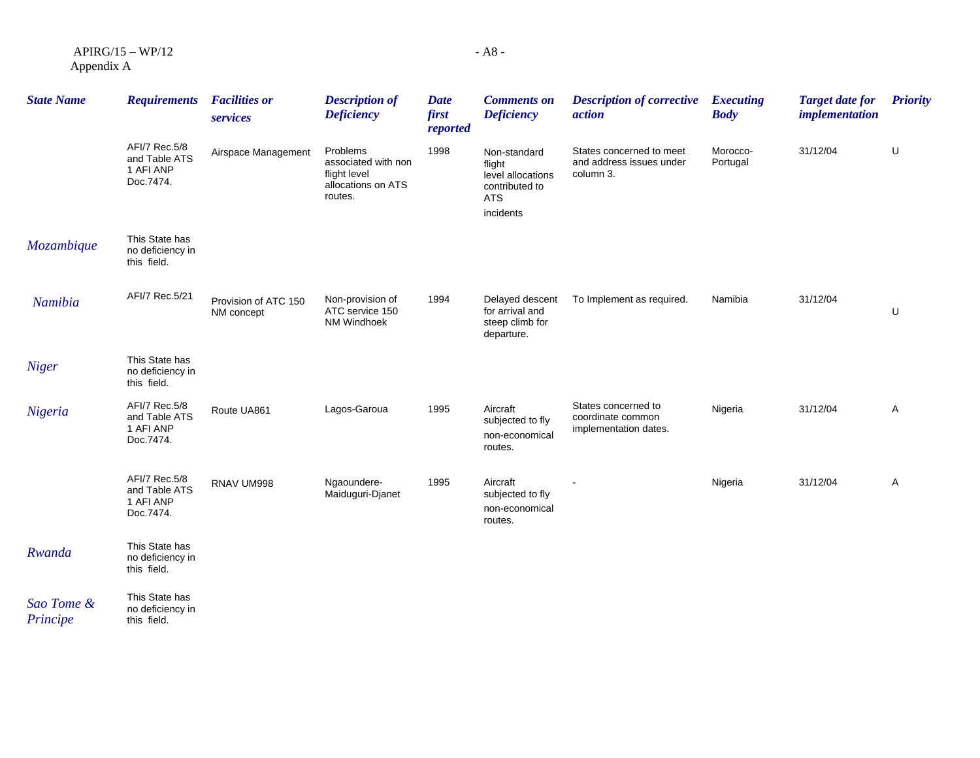APIRG/15 – WP/12 Appendix A

| <b>State Name</b>      | <b>Requirements</b>                                      | <b>Facilities or</b><br>services   | <b>Description of</b><br><b>Deficiency</b>                                       | <b>Date</b><br>first<br>reported | <b>Comments on</b><br><b>Deficiency</b>                                                  | <b>Description of corrective</b><br>action                        | <b>Executing</b><br><b>Body</b> | <b>Target date for</b><br>implementation | <b>Priority</b> |
|------------------------|----------------------------------------------------------|------------------------------------|----------------------------------------------------------------------------------|----------------------------------|------------------------------------------------------------------------------------------|-------------------------------------------------------------------|---------------------------------|------------------------------------------|-----------------|
|                        | AFI/7 Rec.5/8<br>and Table ATS<br>1 AFI ANP<br>Doc.7474. | Airspace Management                | Problems<br>associated with non<br>flight level<br>allocations on ATS<br>routes. | 1998                             | Non-standard<br>flight<br>level allocations<br>contributed to<br><b>ATS</b><br>incidents | States concerned to meet<br>and address issues under<br>column 3. | Morocco-<br>Portugal            | 31/12/04                                 | U               |
| Mozambique             | This State has<br>no deficiency in<br>this field.        |                                    |                                                                                  |                                  |                                                                                          |                                                                   |                                 |                                          |                 |
| Namibia                | AFI/7 Rec.5/21                                           | Provision of ATC 150<br>NM concept | Non-provision of<br>ATC service 150<br><b>NM Windhoek</b>                        | 1994                             | Delayed descent<br>for arrival and<br>steep climb for<br>departure.                      | To Implement as required.                                         | Namibia                         | 31/12/04                                 | U               |
| <b>Niger</b>           | This State has<br>no deficiency in<br>this field.        |                                    |                                                                                  |                                  |                                                                                          |                                                                   |                                 |                                          |                 |
| Nigeria                | AFI/7 Rec.5/8<br>and Table ATS<br>1 AFI ANP<br>Doc.7474. | Route UA861                        | Lagos-Garoua                                                                     | 1995                             | Aircraft<br>subjected to fly<br>non-economical<br>routes.                                | States concerned to<br>coordinate common<br>implementation dates. | Nigeria                         | 31/12/04                                 | A               |
|                        | AFI/7 Rec.5/8<br>and Table ATS<br>1 AFI ANP<br>Doc.7474. | RNAV UM998                         | Ngaoundere-<br>Maiduguri-Djanet                                                  | 1995                             | Aircraft<br>subjected to fly<br>non-economical<br>routes.                                |                                                                   | Nigeria                         | 31/12/04                                 | A               |
| Rwanda                 | This State has<br>no deficiency in<br>this field.        |                                    |                                                                                  |                                  |                                                                                          |                                                                   |                                 |                                          |                 |
| Sao Tome &<br>Principe | This State has<br>no deficiency in<br>this field.        |                                    |                                                                                  |                                  |                                                                                          |                                                                   |                                 |                                          |                 |

*Principe*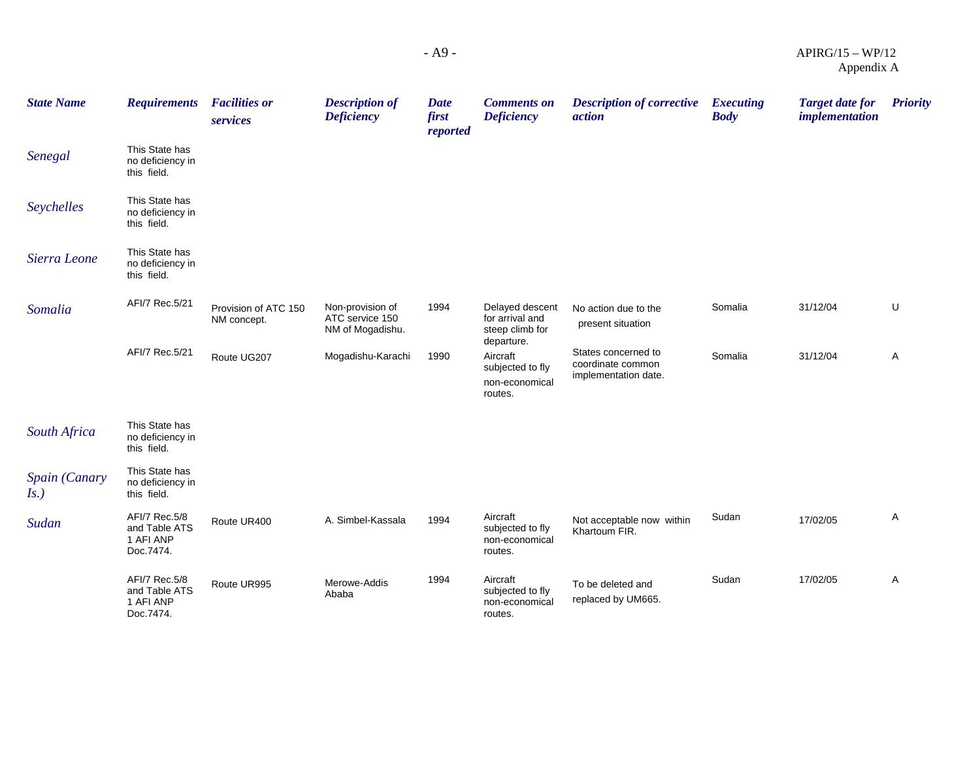| <b>State Name</b>        | <b>Requirements</b>                                      | <b>Facilities or</b><br>services    | <b>Description of</b><br><b>Deficiency</b>              | Date<br>first<br>reported | <b>Comments on</b><br><b>Deficiency</b>                                 | <b>Description of corrective</b><br><i>action</i>                | <b>Executing</b><br><b>Body</b> | <b>Target date for</b><br><i>implementation</i> | <b>Priority</b> |
|--------------------------|----------------------------------------------------------|-------------------------------------|---------------------------------------------------------|---------------------------|-------------------------------------------------------------------------|------------------------------------------------------------------|---------------------------------|-------------------------------------------------|-----------------|
| Senegal                  | This State has<br>no deficiency in<br>this field.        |                                     |                                                         |                           |                                                                         |                                                                  |                                 |                                                 |                 |
| Seychelles               | This State has<br>no deficiency in<br>this field.        |                                     |                                                         |                           |                                                                         |                                                                  |                                 |                                                 |                 |
| Sierra Leone             | This State has<br>no deficiency in<br>this field.        |                                     |                                                         |                           |                                                                         |                                                                  |                                 |                                                 |                 |
| Somalia                  | AFI/7 Rec.5/21                                           | Provision of ATC 150<br>NM concept. | Non-provision of<br>ATC service 150<br>NM of Mogadishu. | 1994                      | Delayed descent<br>for arrival and<br>steep climb for                   | No action due to the<br>present situation                        | Somalia                         | 31/12/04                                        | U               |
|                          | AFI/7 Rec.5/21                                           | Route UG207                         | Mogadishu-Karachi                                       | 1990                      | departure.<br>Aircraft<br>subjected to fly<br>non-economical<br>routes. | States concerned to<br>coordinate common<br>implementation date. | Somalia                         | 31/12/04                                        | Α               |
| South Africa             | This State has<br>no deficiency in<br>this field.        |                                     |                                                         |                           |                                                                         |                                                                  |                                 |                                                 |                 |
| Spain (Canary<br>$Is.$ ) | This State has<br>no deficiency in<br>this field.        |                                     |                                                         |                           |                                                                         |                                                                  |                                 |                                                 |                 |
| Sudan                    | AFI/7 Rec.5/8<br>and Table ATS<br>1 AFI ANP<br>Doc.7474. | Route UR400                         | A. Simbel-Kassala                                       | 1994                      | Aircraft<br>subjected to fly<br>non-economical<br>routes.               | Not acceptable now within<br>Khartoum FIR.                       | Sudan                           | 17/02/05                                        | Α               |
|                          | AFI/7 Rec.5/8<br>and Table ATS<br>1 AFI ANP<br>Doc.7474. | Route UR995                         | Merowe-Addis<br>Ababa                                   | 1994                      | Aircraft<br>subjected to fly<br>non-economical<br>routes.               | To be deleted and<br>replaced by UM665.                          | Sudan                           | 17/02/05                                        | Α               |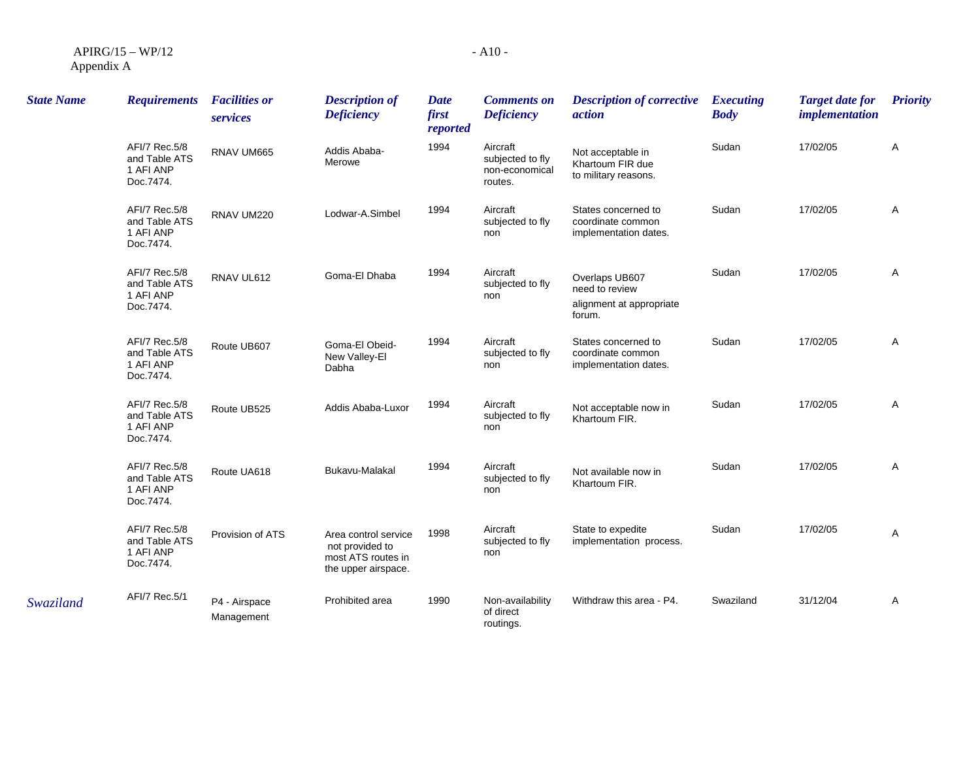| $APIRG/15-WP/12$ |  |
|------------------|--|
| Appendix A       |  |

| <b>State Name</b> | <b>Requirements</b>                                      | <b>Facilities or</b><br>services | <b>Description of</b><br><b>Deficiency</b>                                           | <b>Date</b><br>first<br>reported | <b>Comments on</b><br><b>Deficiency</b>                   | <b>Description of corrective</b><br>action                             | <b>Executing</b><br><b>Body</b> | <b>Target date for</b><br><i>implementation</i> | <b>Priority</b> |
|-------------------|----------------------------------------------------------|----------------------------------|--------------------------------------------------------------------------------------|----------------------------------|-----------------------------------------------------------|------------------------------------------------------------------------|---------------------------------|-------------------------------------------------|-----------------|
|                   | AFI/7 Rec.5/8<br>and Table ATS<br>1 AFI ANP<br>Doc.7474. | RNAV UM665                       | Addis Ababa-<br>Merowe                                                               | 1994                             | Aircraft<br>subjected to fly<br>non-economical<br>routes. | Not acceptable in<br>Khartoum FIR due<br>to military reasons.          | Sudan                           | 17/02/05                                        | Α               |
|                   | AFI/7 Rec.5/8<br>and Table ATS<br>1 AFI ANP<br>Doc.7474. | RNAV UM220                       | Lodwar-A.Simbel                                                                      | 1994                             | Aircraft<br>subjected to fly<br>non                       | States concerned to<br>coordinate common<br>implementation dates.      | Sudan                           | 17/02/05                                        | A               |
|                   | AFI/7 Rec.5/8<br>and Table ATS<br>1 AFI ANP<br>Doc.7474. | RNAV UL612                       | Goma-El Dhaba                                                                        | 1994                             | Aircraft<br>subjected to fly<br>non                       | Overlaps UB607<br>need to review<br>alignment at appropriate<br>forum. | Sudan                           | 17/02/05                                        | Α               |
|                   | AFI/7 Rec.5/8<br>and Table ATS<br>1 AFI ANP<br>Doc.7474. | Route UB607                      | Goma-El Obeid-<br>New Valley-El<br>Dabha                                             | 1994                             | Aircraft<br>subjected to fly<br>non                       | States concerned to<br>coordinate common<br>implementation dates.      | Sudan                           | 17/02/05                                        | Α               |
|                   | AFI/7 Rec.5/8<br>and Table ATS<br>1 AFI ANP<br>Doc.7474. | Route UB525                      | Addis Ababa-Luxor                                                                    | 1994                             | Aircraft<br>subjected to fly<br>non                       | Not acceptable now in<br>Khartoum FIR.                                 | Sudan                           | 17/02/05                                        | Α               |
|                   | AFI/7 Rec.5/8<br>and Table ATS<br>1 AFI ANP<br>Doc.7474. | Route UA618                      | Bukavu-Malakal                                                                       | 1994                             | Aircraft<br>subjected to fly<br>non                       | Not available now in<br>Khartoum FIR.                                  | Sudan                           | 17/02/05                                        | Α               |
|                   | AFI/7 Rec.5/8<br>and Table ATS<br>1 AFI ANP<br>Doc.7474. | Provision of ATS                 | Area control service<br>not provided to<br>most ATS routes in<br>the upper airspace. | 1998                             | Aircraft<br>subjected to fly<br>non                       | State to expedite<br>implementation process.                           | Sudan                           | 17/02/05                                        | Α               |
| Swaziland         | AFI/7 Rec.5/1                                            | P4 - Airspace<br>Management      | Prohibited area                                                                      | 1990                             | Non-availability<br>of direct<br>routings.                | Withdraw this area - P4.                                               | Swaziland                       | 31/12/04                                        | Α               |

- A10 -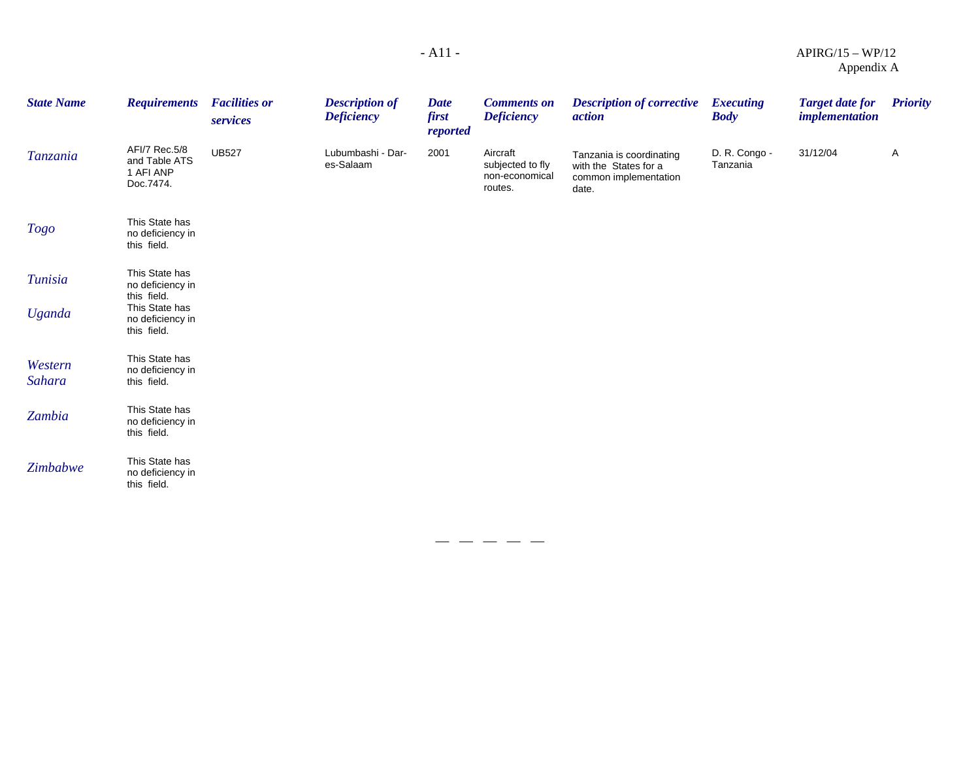| <b>State Name</b>               | <b>Requirements</b>                                                                                    | <b>Facilities or</b><br>services | <b>Description of</b><br><b>Deficiency</b> | <b>Date</b><br>first<br>reported | <b>Comments on</b><br><b>Deficiency</b>                   | <b>Description of corrective</b><br><i>action</i>                                   | <b>Executing</b><br><b>Body</b> | <b>Target date for</b><br><i>implementation</i> | <b>Priority</b> |
|---------------------------------|--------------------------------------------------------------------------------------------------------|----------------------------------|--------------------------------------------|----------------------------------|-----------------------------------------------------------|-------------------------------------------------------------------------------------|---------------------------------|-------------------------------------------------|-----------------|
| Tanzania                        | AFI/7 Rec.5/8<br>and Table ATS<br>1 AFI ANP<br>Doc.7474.                                               | <b>UB527</b>                     | Lubumbashi - Dar-<br>es-Salaam             | 2001                             | Aircraft<br>subjected to fly<br>non-economical<br>routes. | Tanzania is coordinating<br>with the States for a<br>common implementation<br>date. | D. R. Congo -<br>Tanzania       | 31/12/04                                        | A               |
| <b>Togo</b>                     | This State has<br>no deficiency in<br>this field.                                                      |                                  |                                            |                                  |                                                           |                                                                                     |                                 |                                                 |                 |
| <b>Tunisia</b><br><b>Uganda</b> | This State has<br>no deficiency in<br>this field.<br>This State has<br>no deficiency in<br>this field. |                                  |                                            |                                  |                                                           |                                                                                     |                                 |                                                 |                 |
| Western<br>Sahara               | This State has<br>no deficiency in<br>this field.                                                      |                                  |                                            |                                  |                                                           |                                                                                     |                                 |                                                 |                 |
| Zambia                          | This State has<br>no deficiency in<br>this field.                                                      |                                  |                                            |                                  |                                                           |                                                                                     |                                 |                                                 |                 |
| Zimbabwe                        | This State has<br>no deficiency in<br>this field.                                                      |                                  |                                            |                                  |                                                           |                                                                                     |                                 |                                                 |                 |

— — — — —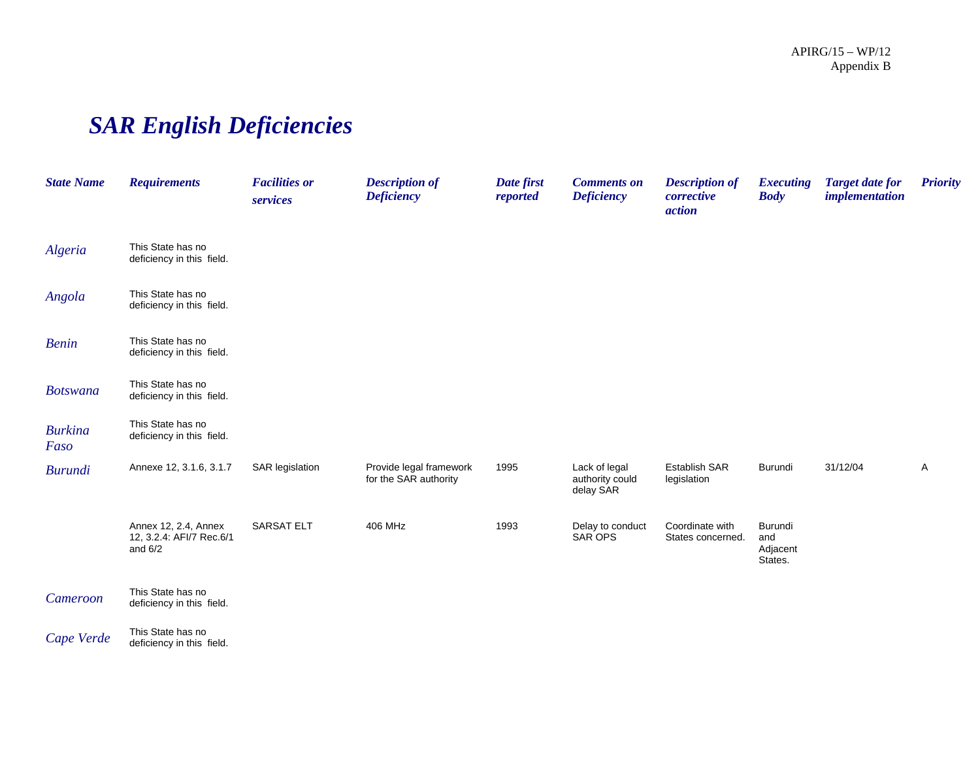# *SAR English Deficiencies*

| <b>State Name</b>      | <b>Requirements</b>                                           | <b>Facilities or</b><br>services | <b>Description of</b><br><b>Deficiency</b>       | Date first<br>reported | <b>Comments on</b><br><b>Deficiency</b>       | <b>Description of</b><br>corrective<br>action | <b>Executing</b><br><b>Body</b>       | <b>Target date for</b><br><i>implementation</i> | <b>Priority</b> |
|------------------------|---------------------------------------------------------------|----------------------------------|--------------------------------------------------|------------------------|-----------------------------------------------|-----------------------------------------------|---------------------------------------|-------------------------------------------------|-----------------|
| Algeria                | This State has no<br>deficiency in this field.                |                                  |                                                  |                        |                                               |                                               |                                       |                                                 |                 |
| Angola                 | This State has no<br>deficiency in this field.                |                                  |                                                  |                        |                                               |                                               |                                       |                                                 |                 |
| <b>Benin</b>           | This State has no<br>deficiency in this field.                |                                  |                                                  |                        |                                               |                                               |                                       |                                                 |                 |
| <b>Botswana</b>        | This State has no<br>deficiency in this field.                |                                  |                                                  |                        |                                               |                                               |                                       |                                                 |                 |
| <b>Burkina</b><br>Faso | This State has no<br>deficiency in this field.                |                                  |                                                  |                        |                                               |                                               |                                       |                                                 |                 |
| <b>Burundi</b>         | Annexe 12, 3.1.6, 3.1.7                                       | SAR legislation                  | Provide legal framework<br>for the SAR authority | 1995                   | Lack of legal<br>authority could<br>delay SAR | <b>Establish SAR</b><br>legislation           | Burundi                               | 31/12/04                                        | A               |
|                        | Annex 12, 2.4, Annex<br>12, 3.2.4: AFI/7 Rec.6/1<br>and $6/2$ | <b>SARSAT ELT</b>                | 406 MHz                                          | 1993                   | Delay to conduct<br>SAR OPS                   | Coordinate with<br>States concerned.          | Burundi<br>and<br>Adjacent<br>States. |                                                 |                 |
| Cameroon               | This State has no<br>deficiency in this field.                |                                  |                                                  |                        |                                               |                                               |                                       |                                                 |                 |
| Cape Verde             | This State has no<br>deficiency in this field.                |                                  |                                                  |                        |                                               |                                               |                                       |                                                 |                 |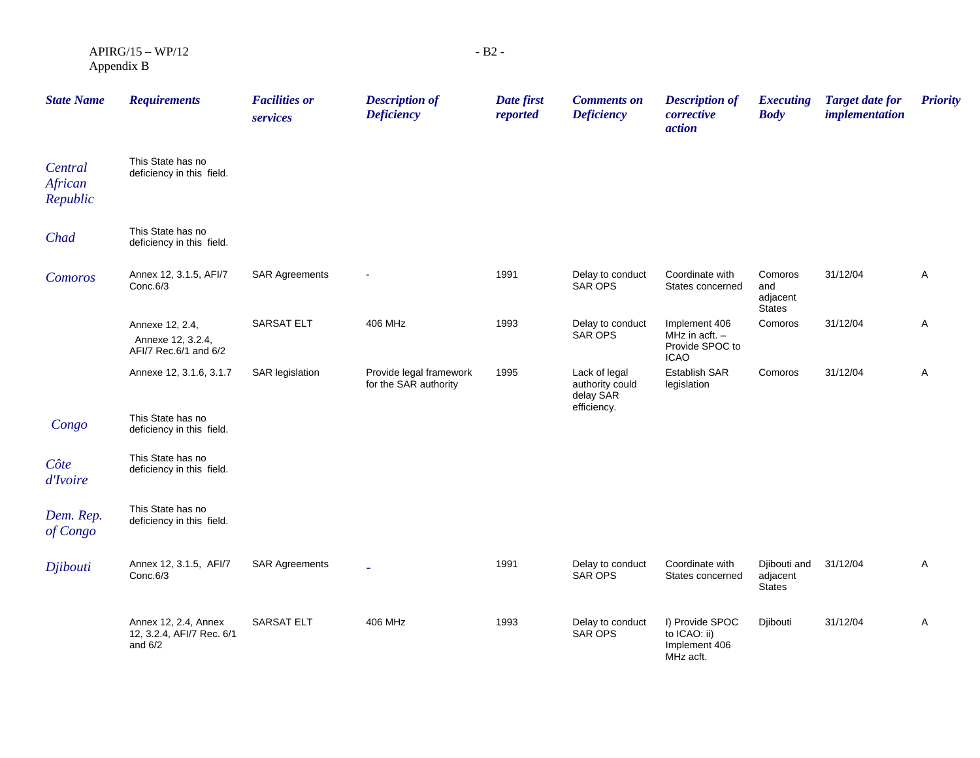$APIRG/15 - WP/12$ Appendix B

| <b>State Name</b>              | <b>Requirements</b>                                            | <b>Facilities or</b><br>services | <b>Description of</b><br><b>Deficiency</b>       | Date first<br>reported | <b>Comments on</b><br><b>Deficiency</b>                      | <b>Description of</b><br>corrective<br>action                       | <b>Executing</b><br><b>Body</b>             | <b>Target date for</b><br><i>implementation</i> | <b>Priority</b> |
|--------------------------------|----------------------------------------------------------------|----------------------------------|--------------------------------------------------|------------------------|--------------------------------------------------------------|---------------------------------------------------------------------|---------------------------------------------|-------------------------------------------------|-----------------|
| Central<br>African<br>Republic | This State has no<br>deficiency in this field.                 |                                  |                                                  |                        |                                                              |                                                                     |                                             |                                                 |                 |
| Chad                           | This State has no<br>deficiency in this field.                 |                                  |                                                  |                        |                                                              |                                                                     |                                             |                                                 |                 |
| Comoros                        | Annex 12, 3.1.5, AFI/7<br>Conc.6/3                             | <b>SAR Agreements</b>            |                                                  | 1991                   | Delay to conduct<br><b>SAR OPS</b>                           | Coordinate with<br>States concerned                                 | Comoros<br>and<br>adjacent<br><b>States</b> | 31/12/04                                        | A               |
|                                | Annexe 12, 2.4,<br>Annexe 12, 3.2.4,<br>AFI/7 Rec.6/1 and 6/2  | <b>SARSAT ELT</b>                | 406 MHz                                          | 1993                   | Delay to conduct<br>SAR OPS                                  | Implement 406<br>MHz in acft. $-$<br>Provide SPOC to<br><b>ICAO</b> | Comoros                                     | 31/12/04                                        | A               |
|                                | Annexe 12, 3.1.6, 3.1.7                                        | SAR legislation                  | Provide legal framework<br>for the SAR authority | 1995                   | Lack of legal<br>authority could<br>delay SAR<br>efficiency. | Establish SAR<br>legislation                                        | Comoros                                     | 31/12/04                                        | A               |
| Congo                          | This State has no<br>deficiency in this field.                 |                                  |                                                  |                        |                                                              |                                                                     |                                             |                                                 |                 |
| Côte<br>d'Ivoire               | This State has no<br>deficiency in this field.                 |                                  |                                                  |                        |                                                              |                                                                     |                                             |                                                 |                 |
| Dem. Rep.<br>of Congo          | This State has no<br>deficiency in this field.                 |                                  |                                                  |                        |                                                              |                                                                     |                                             |                                                 |                 |
| Djibouti                       | Annex 12, 3.1.5, AFI/7<br>Conc.6/3                             | <b>SAR Agreements</b>            | $\overline{\phantom{a}}$                         | 1991                   | Delay to conduct<br>SAR OPS                                  | Coordinate with<br>States concerned                                 | Djibouti and<br>adjacent<br>States          | 31/12/04                                        | A               |
|                                | Annex 12, 2.4, Annex<br>12, 3.2.4, AFI/7 Rec. 6/1<br>and $6/2$ | <b>SARSAT ELT</b>                | 406 MHz                                          | 1993                   | Delay to conduct<br><b>SAR OPS</b>                           | I) Provide SPOC<br>to ICAO: ii)<br>Implement 406<br>MHz acft.       | Djibouti                                    | 31/12/04                                        | A               |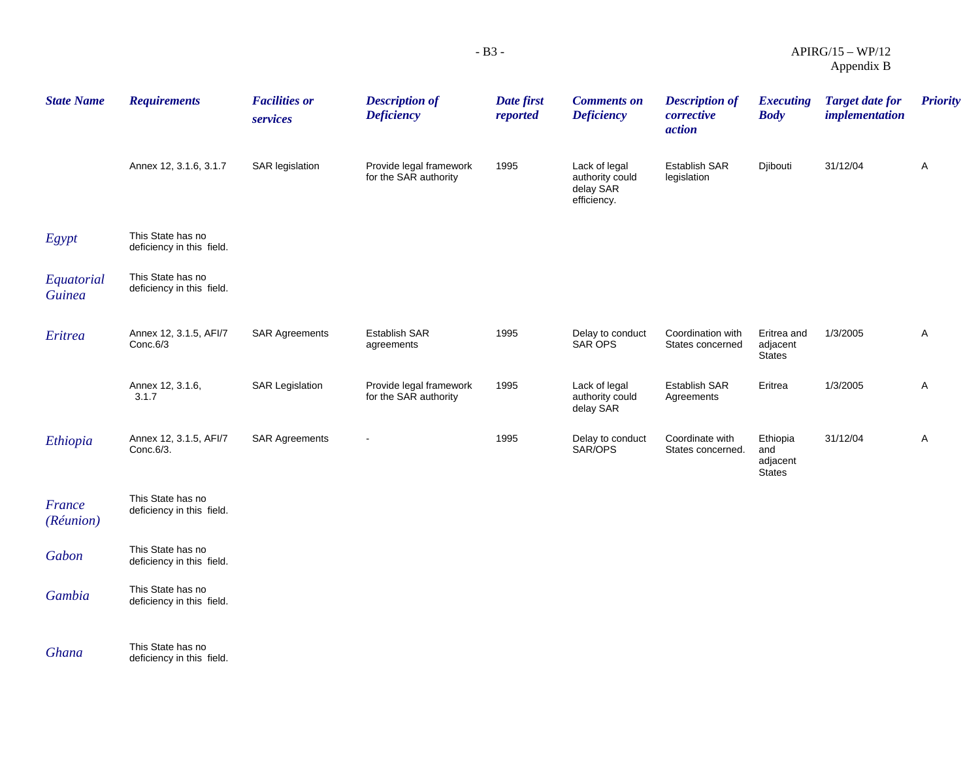| <b>State Name</b>           | <b>Requirements</b>                            | <b>Facilities or</b><br>services | <b>Description of</b><br><b>Deficiency</b>       | Date first<br>reported | <b>Comments on</b><br><b>Deficiency</b>                      | <b>Description of</b><br>corrective<br>action | <b>Executing</b><br><b>Body</b>              | <b>Target date for</b><br><i>implementation</i> | <b>Priority</b> |
|-----------------------------|------------------------------------------------|----------------------------------|--------------------------------------------------|------------------------|--------------------------------------------------------------|-----------------------------------------------|----------------------------------------------|-------------------------------------------------|-----------------|
|                             | Annex 12, 3.1.6, 3.1.7                         | <b>SAR</b> legislation           | Provide legal framework<br>for the SAR authority | 1995                   | Lack of legal<br>authority could<br>delay SAR<br>efficiency. | Establish SAR<br>legislation                  | Djibouti                                     | 31/12/04                                        | A               |
| Egypt                       | This State has no<br>deficiency in this field. |                                  |                                                  |                        |                                                              |                                               |                                              |                                                 |                 |
| Equatorial<br><b>Guinea</b> | This State has no<br>deficiency in this field. |                                  |                                                  |                        |                                                              |                                               |                                              |                                                 |                 |
| Eritrea                     | Annex 12, 3.1.5, AFI/7<br>Conc.6/3             | <b>SAR Agreements</b>            | <b>Establish SAR</b><br>agreements               | 1995                   | Delay to conduct<br><b>SAR OPS</b>                           | Coordination with<br>States concerned         | Eritrea and<br>adjacent<br><b>States</b>     | 1/3/2005                                        | A               |
|                             | Annex 12, 3.1.6,<br>3.1.7                      | <b>SAR Legislation</b>           | Provide legal framework<br>for the SAR authority | 1995                   | Lack of legal<br>authority could<br>delay SAR                | Establish SAR<br>Agreements                   | Eritrea                                      | 1/3/2005                                        | A               |
| Ethiopia                    | Annex 12, 3.1.5, AFI/7<br>Conc.6/3.            | <b>SAR Agreements</b>            | $\sim$                                           | 1995                   | Delay to conduct<br>SAR/OPS                                  | Coordinate with<br>States concerned.          | Ethiopia<br>and<br>adjacent<br><b>States</b> | 31/12/04                                        | A               |
| France<br>(Réunion)         | This State has no<br>deficiency in this field. |                                  |                                                  |                        |                                                              |                                               |                                              |                                                 |                 |
| Gabon                       | This State has no<br>deficiency in this field. |                                  |                                                  |                        |                                                              |                                               |                                              |                                                 |                 |
| Gambia                      | This State has no<br>deficiency in this field. |                                  |                                                  |                        |                                                              |                                               |                                              |                                                 |                 |

**Ghana This State has no Ghana deficiency** in this field.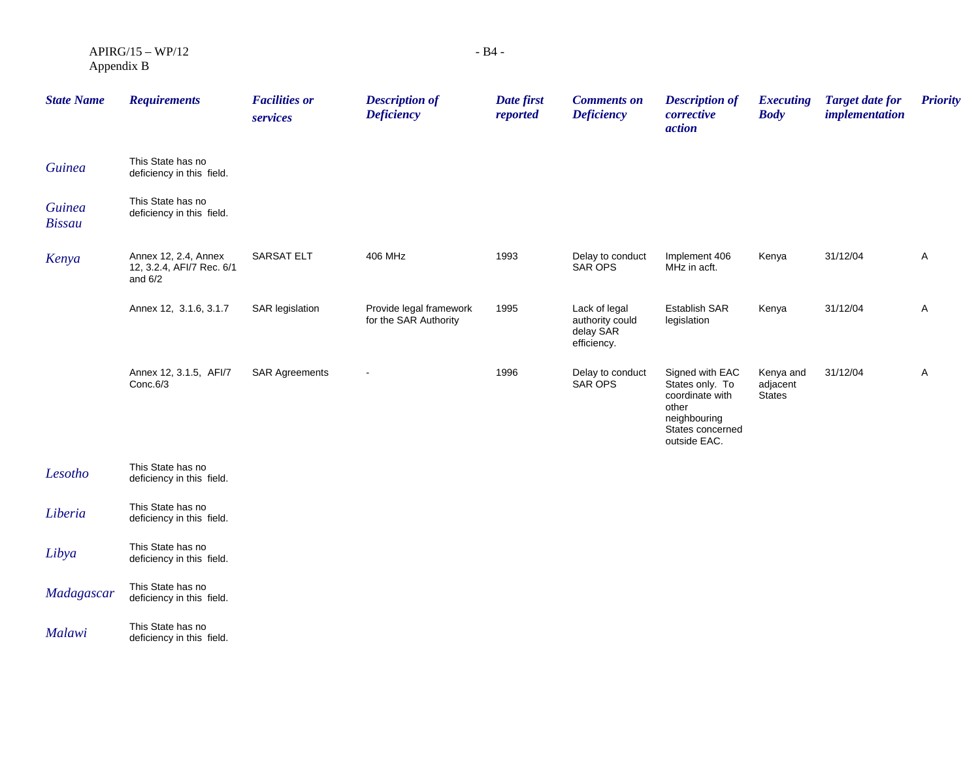$APIRG/15 - WP/12$ Appendix B

| <b>State Name</b>              | <b>Requirements</b>                                            | <b>Facilities or</b><br>services | <b>Description of</b><br><b>Deficiency</b>       | Date first<br>reported | <b>Comments on</b><br><b>Deficiency</b>                      | <b>Description of</b><br>corrective<br>action                                                                      | <b>Executing</b><br><b>Body</b>        | <b>Target date for</b><br><i>implementation</i> | <b>Priority</b> |
|--------------------------------|----------------------------------------------------------------|----------------------------------|--------------------------------------------------|------------------------|--------------------------------------------------------------|--------------------------------------------------------------------------------------------------------------------|----------------------------------------|-------------------------------------------------|-----------------|
| <b>Guinea</b>                  | This State has no<br>deficiency in this field.                 |                                  |                                                  |                        |                                                              |                                                                                                                    |                                        |                                                 |                 |
| <b>Guinea</b><br><b>Bissau</b> | This State has no<br>deficiency in this field.                 |                                  |                                                  |                        |                                                              |                                                                                                                    |                                        |                                                 |                 |
| Kenya                          | Annex 12, 2.4, Annex<br>12, 3.2.4, AFI/7 Rec. 6/1<br>and $6/2$ | <b>SARSAT ELT</b>                | 406 MHz                                          | 1993                   | Delay to conduct<br><b>SAR OPS</b>                           | Implement 406<br>MHz in acft.                                                                                      | Kenya                                  | 31/12/04                                        | A               |
|                                | Annex 12, 3.1.6, 3.1.7                                         | SAR legislation                  | Provide legal framework<br>for the SAR Authority | 1995                   | Lack of legal<br>authority could<br>delay SAR<br>efficiency. | <b>Establish SAR</b><br>legislation                                                                                | Kenya                                  | 31/12/04                                        | A               |
|                                | Annex 12, 3.1.5, AFI/7<br>Conc.6/3                             | <b>SAR Agreements</b>            | $\overline{\phantom{a}}$                         | 1996                   | Delay to conduct<br><b>SAR OPS</b>                           | Signed with EAC<br>States only. To<br>coordinate with<br>other<br>neighbouring<br>States concerned<br>outside EAC. | Kenya and<br>adjacent<br><b>States</b> | 31/12/04                                        | A               |
| Lesotho                        | This State has no<br>deficiency in this field.                 |                                  |                                                  |                        |                                                              |                                                                                                                    |                                        |                                                 |                 |
| Liberia                        | This State has no<br>deficiency in this field.                 |                                  |                                                  |                        |                                                              |                                                                                                                    |                                        |                                                 |                 |
| Libya                          | This State has no<br>deficiency in this field.                 |                                  |                                                  |                        |                                                              |                                                                                                                    |                                        |                                                 |                 |

*Madagascar* This State has no<br>deficiency in this field.

*Malawi* **This State has no** deficiency in this field.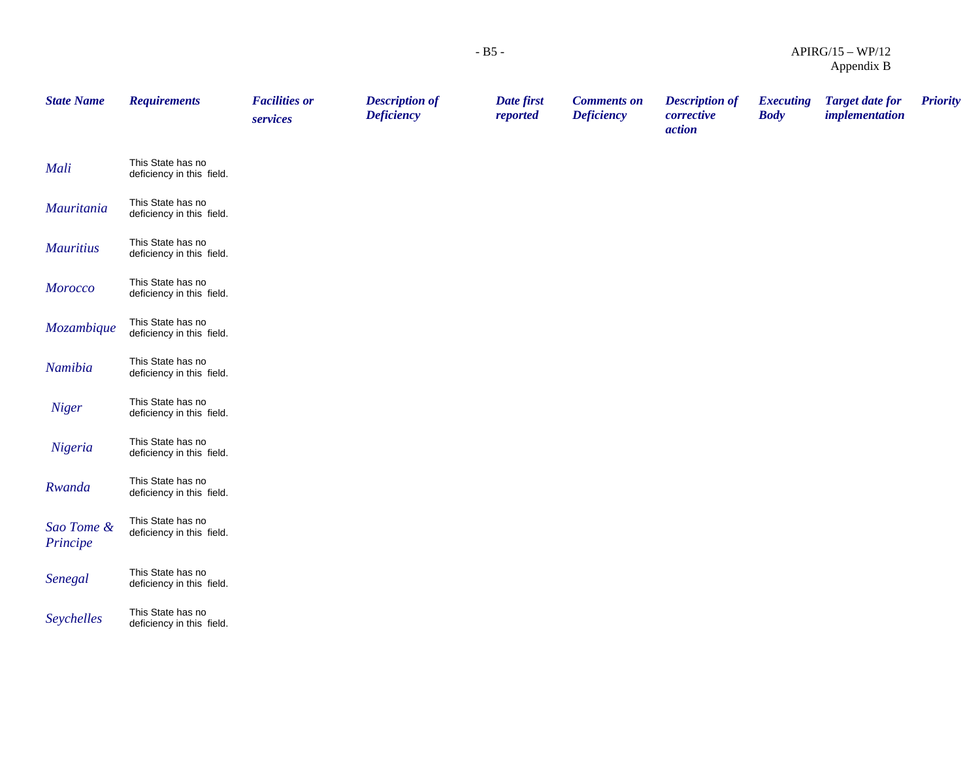| <b>State Name</b>      | <b>Requirements</b>                            | <b>Facilities or</b><br>services | <b>Description of</b><br><b>Deficiency</b> | Date first<br>reported | <b>Comments on</b><br><b>Deficiency</b> | <b>Description of</b><br>corrective<br>action | <b>Executing</b><br><b>Body</b> | <b>Target date for</b><br><i>implementation</i> | <b>Priority</b> |
|------------------------|------------------------------------------------|----------------------------------|--------------------------------------------|------------------------|-----------------------------------------|-----------------------------------------------|---------------------------------|-------------------------------------------------|-----------------|
| Mali                   | This State has no<br>deficiency in this field. |                                  |                                            |                        |                                         |                                               |                                 |                                                 |                 |
| Mauritania             | This State has no<br>deficiency in this field. |                                  |                                            |                        |                                         |                                               |                                 |                                                 |                 |
| <b>Mauritius</b>       | This State has no<br>deficiency in this field. |                                  |                                            |                        |                                         |                                               |                                 |                                                 |                 |
| <b>Morocco</b>         | This State has no<br>deficiency in this field. |                                  |                                            |                        |                                         |                                               |                                 |                                                 |                 |
| Mozambique             | This State has no<br>deficiency in this field. |                                  |                                            |                        |                                         |                                               |                                 |                                                 |                 |
| Namibia                | This State has no<br>deficiency in this field. |                                  |                                            |                        |                                         |                                               |                                 |                                                 |                 |
| <b>Niger</b>           | This State has no<br>deficiency in this field. |                                  |                                            |                        |                                         |                                               |                                 |                                                 |                 |
| Nigeria                | This State has no<br>deficiency in this field. |                                  |                                            |                        |                                         |                                               |                                 |                                                 |                 |
| Rwanda                 | This State has no<br>deficiency in this field. |                                  |                                            |                        |                                         |                                               |                                 |                                                 |                 |
| Sao Tome &<br>Principe | This State has no<br>deficiency in this field. |                                  |                                            |                        |                                         |                                               |                                 |                                                 |                 |
| Senegal                | This State has no<br>deficiency in this field. |                                  |                                            |                        |                                         |                                               |                                 |                                                 |                 |
| Seychelles             | This State has no<br>deficiency in this field. |                                  |                                            |                        |                                         |                                               |                                 |                                                 |                 |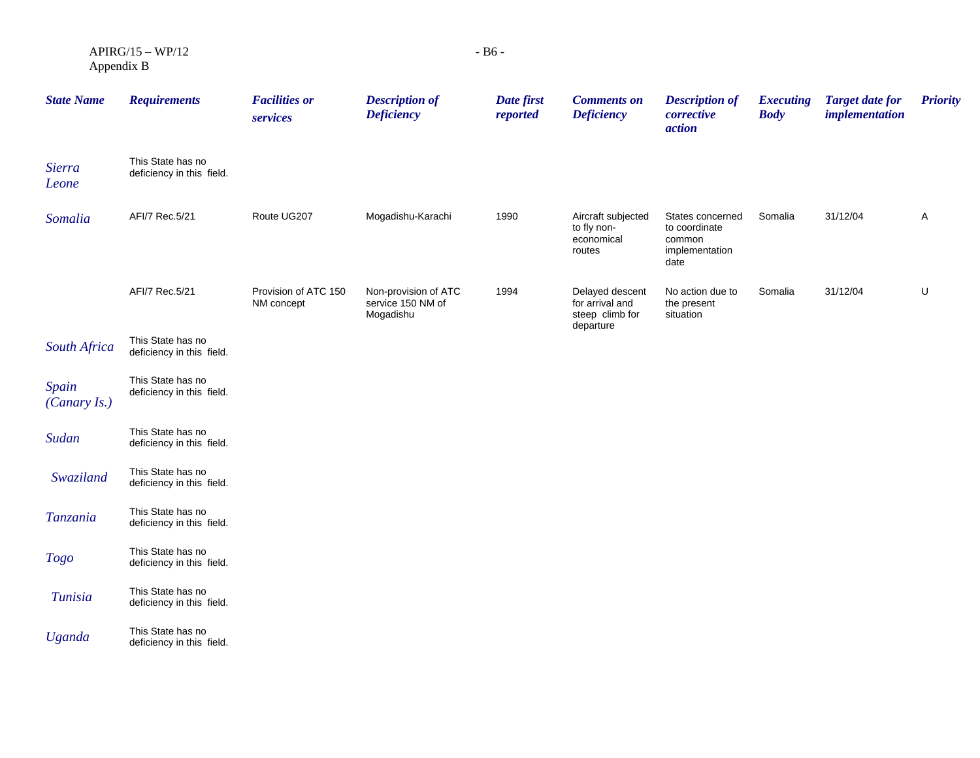$APIRG/15 - WP/12$ Appendix B

| <b>State Name</b>      | <b>Requirements</b>                            | <b>Facilities or</b><br>services   | <b>Description of</b><br><b>Deficiency</b>             | Date first<br>reported | <b>Comments on</b><br><b>Deficiency</b>                            | <b>Description of</b><br>corrective<br>action                         | <b>Executing</b><br><b>Body</b> | <b>Target date for</b><br><i>implementation</i> | <b>Priority</b> |
|------------------------|------------------------------------------------|------------------------------------|--------------------------------------------------------|------------------------|--------------------------------------------------------------------|-----------------------------------------------------------------------|---------------------------------|-------------------------------------------------|-----------------|
| <b>Sierra</b><br>Leone | This State has no<br>deficiency in this field. |                                    |                                                        |                        |                                                                    |                                                                       |                                 |                                                 |                 |
| Somalia                | AFI/7 Rec.5/21                                 | Route UG207                        | Mogadishu-Karachi                                      | 1990                   | Aircraft subjected<br>to fly non-<br>economical<br>routes          | States concerned<br>to coordinate<br>common<br>implementation<br>date | Somalia                         | 31/12/04                                        | A               |
|                        | AFI/7 Rec.5/21                                 | Provision of ATC 150<br>NM concept | Non-provision of ATC<br>service 150 NM of<br>Mogadishu | 1994                   | Delayed descent<br>for arrival and<br>steep climb for<br>departure | No action due to<br>the present<br>situation                          | Somalia                         | 31/12/04                                        | U               |
| South Africa           | This State has no<br>deficiency in this field. |                                    |                                                        |                        |                                                                    |                                                                       |                                 |                                                 |                 |
| Spain<br>(Canary Is.)  | This State has no<br>deficiency in this field. |                                    |                                                        |                        |                                                                    |                                                                       |                                 |                                                 |                 |
| Sudan                  | This State has no<br>deficiency in this field. |                                    |                                                        |                        |                                                                    |                                                                       |                                 |                                                 |                 |
| Swaziland              | This State has no<br>deficiency in this field. |                                    |                                                        |                        |                                                                    |                                                                       |                                 |                                                 |                 |
| Tanzania               | This State has no<br>deficiency in this field. |                                    |                                                        |                        |                                                                    |                                                                       |                                 |                                                 |                 |
| <b>Togo</b>            | This State has no<br>deficiency in this field. |                                    |                                                        |                        |                                                                    |                                                                       |                                 |                                                 |                 |
| Tunisia                | This State has no<br>deficiency in this field. |                                    |                                                        |                        |                                                                    |                                                                       |                                 |                                                 |                 |
| <b>Uganda</b>          | This State has no<br>deficiency in this field. |                                    |                                                        |                        |                                                                    |                                                                       |                                 |                                                 |                 |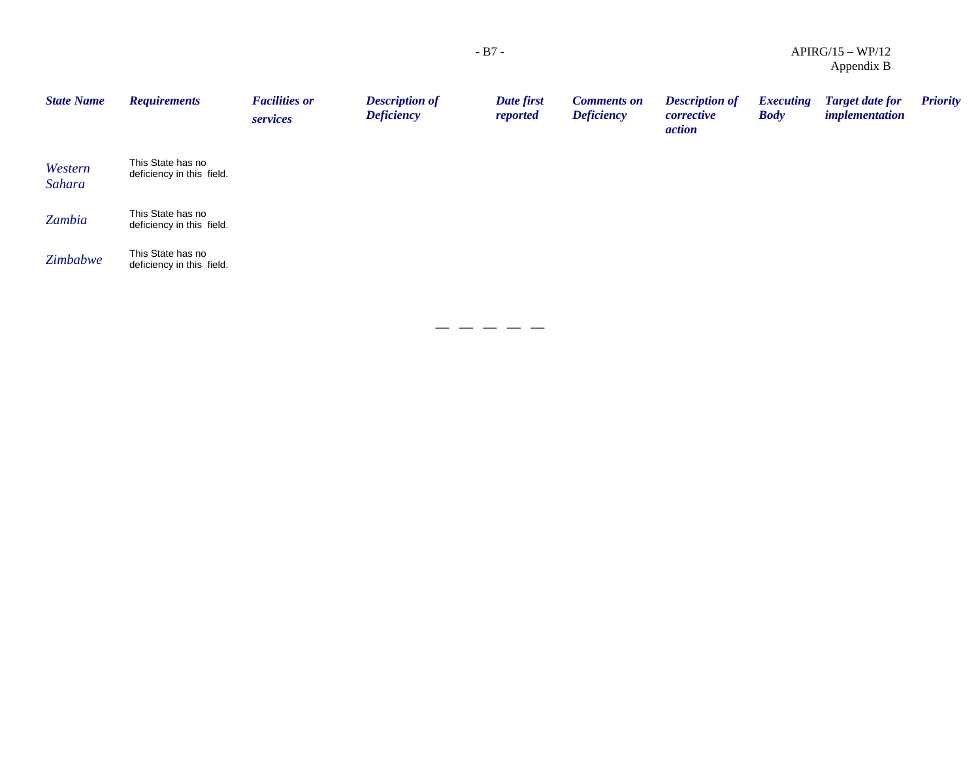|                   |                                                |                                  |                                            |                        |                                         |                                                      | $\Delta$ ppulula D              |                                                 |                 |
|-------------------|------------------------------------------------|----------------------------------|--------------------------------------------|------------------------|-----------------------------------------|------------------------------------------------------|---------------------------------|-------------------------------------------------|-----------------|
| <b>State Name</b> | <b>Requirements</b>                            | <b>Facilities or</b><br>services | <b>Description of</b><br><b>Deficiency</b> | Date first<br>reported | <b>Comments on</b><br><b>Deficiency</b> | <b>Description of</b><br>corrective<br><i>action</i> | <b>Executing</b><br><b>Body</b> | <b>Target date for</b><br><i>implementation</i> | <b>Priority</b> |
| Western<br>Sahara | This State has no<br>deficiency in this field. |                                  |                                            |                        |                                         |                                                      |                                 |                                                 |                 |
| Zambia            | This State has no<br>deficiency in this field. |                                  |                                            |                        |                                         |                                                      |                                 |                                                 |                 |
| Zimbabwe          | This State has no<br>deficiency in this field. |                                  |                                            |                        |                                         |                                                      |                                 |                                                 |                 |

 $- - - - -$ 

APIRG/15 – WP/12 Appendix B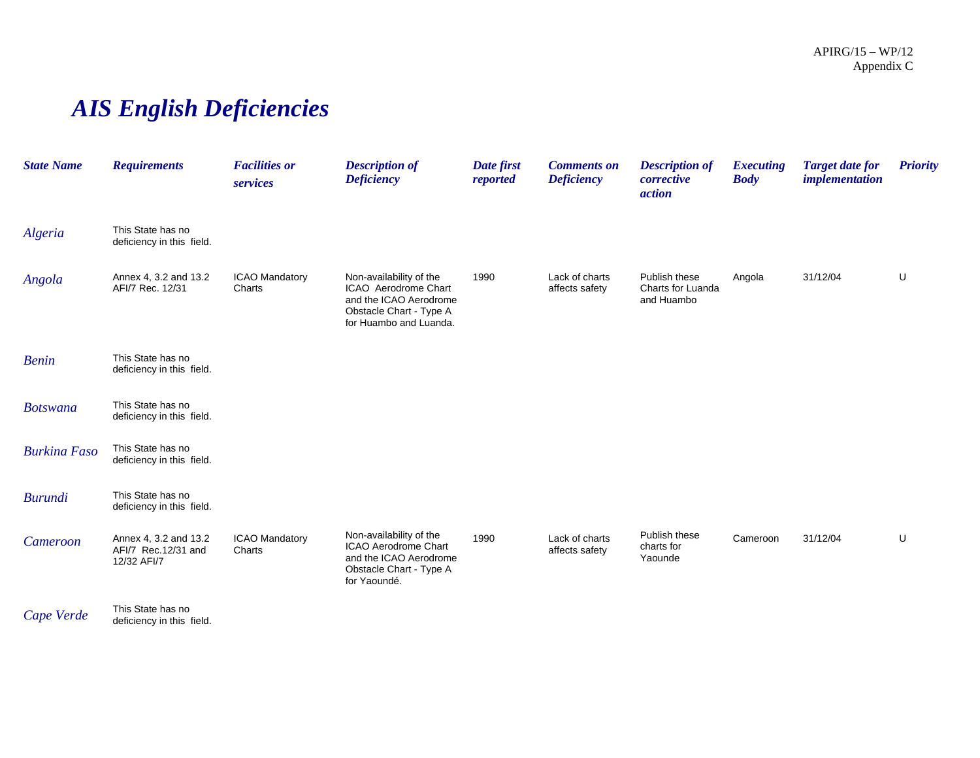# *AIS English Deficiencies*

| <b>State Name</b>   | <b>Requirements</b>                                         | <b>Facilities or</b><br>services | <b>Description of</b><br><b>Deficiency</b>                                                                                     | Date first<br>reported | <b>Comments on</b><br><b>Deficiency</b> | <b>Description of</b><br>corrective<br>action    | <b>Executing</b><br><b>Body</b> | <b>Target date for</b><br>implementation | <b>Priority</b> |
|---------------------|-------------------------------------------------------------|----------------------------------|--------------------------------------------------------------------------------------------------------------------------------|------------------------|-----------------------------------------|--------------------------------------------------|---------------------------------|------------------------------------------|-----------------|
| Algeria             | This State has no<br>deficiency in this field.              |                                  |                                                                                                                                |                        |                                         |                                                  |                                 |                                          |                 |
| Angola              | Annex 4, 3.2 and 13.2<br>AFI/7 Rec. 12/31                   | <b>ICAO Mandatory</b><br>Charts  | Non-availability of the<br>ICAO Aerodrome Chart<br>and the ICAO Aerodrome<br>Obstacle Chart - Type A<br>for Huambo and Luanda. | 1990                   | Lack of charts<br>affects safety        | Publish these<br>Charts for Luanda<br>and Huambo | Angola                          | 31/12/04                                 | U               |
| <b>Benin</b>        | This State has no<br>deficiency in this field.              |                                  |                                                                                                                                |                        |                                         |                                                  |                                 |                                          |                 |
| <b>Botswana</b>     | This State has no<br>deficiency in this field.              |                                  |                                                                                                                                |                        |                                         |                                                  |                                 |                                          |                 |
| <b>Burkina Faso</b> | This State has no<br>deficiency in this field.              |                                  |                                                                                                                                |                        |                                         |                                                  |                                 |                                          |                 |
| <b>Burundi</b>      | This State has no<br>deficiency in this field.              |                                  |                                                                                                                                |                        |                                         |                                                  |                                 |                                          |                 |
| Cameroon            | Annex 4, 3.2 and 13.2<br>AFI/7 Rec.12/31 and<br>12/32 AFI/7 | ICAO Mandatory<br>Charts         | Non-availability of the<br>ICAO Aerodrome Chart<br>and the ICAO Aerodrome<br>Obstacle Chart - Type A<br>for Yaoundé.           | 1990                   | Lack of charts<br>affects safety        | Publish these<br>charts for<br>Yaounde           | Cameroon                        | 31/12/04                                 | U               |
| Cape Verde          | This State has no<br>deficiency in this field.              |                                  |                                                                                                                                |                        |                                         |                                                  |                                 |                                          |                 |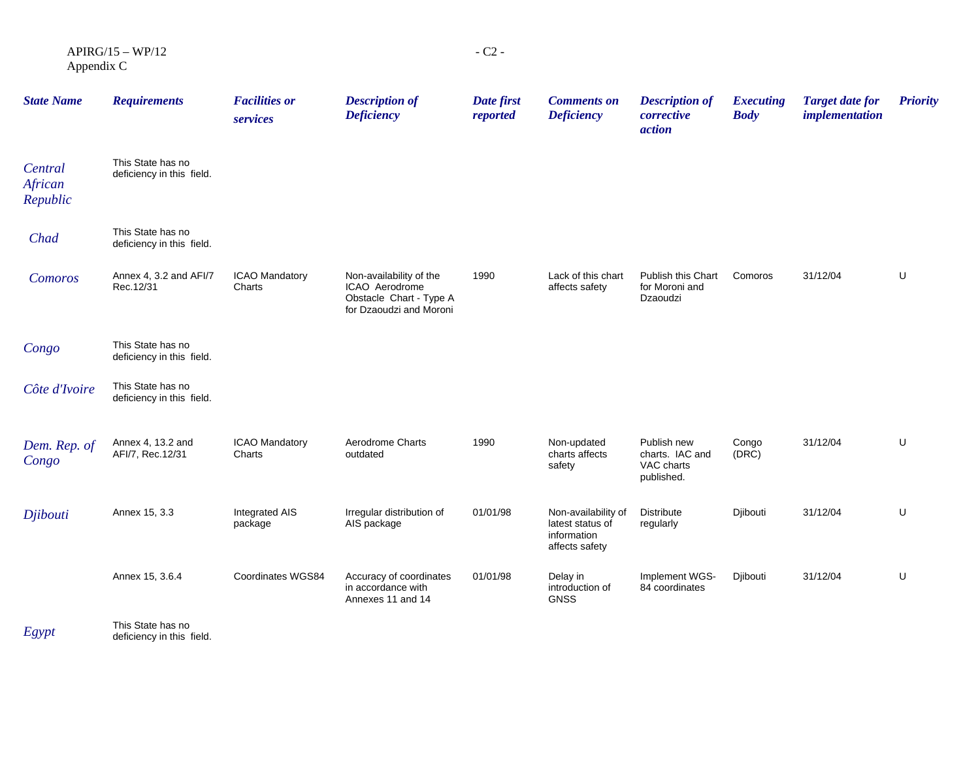$APIRG/15 - WP/12$ Appendix C

| <b>State Name</b>              | <b>Requirements</b>                            | <b>Facilities or</b><br>services | <b>Description of</b><br><b>Deficiency</b>                                                      | Date first<br>reported | <b>Comments on</b><br><b>Deficiency</b>                                  | <b>Description of</b><br>corrective<br>action              | <b>Executing</b><br><b>Body</b> | <b>Target date for</b><br><i>implementation</i> | <b>Priority</b> |
|--------------------------------|------------------------------------------------|----------------------------------|-------------------------------------------------------------------------------------------------|------------------------|--------------------------------------------------------------------------|------------------------------------------------------------|---------------------------------|-------------------------------------------------|-----------------|
| Central<br>African<br>Republic | This State has no<br>deficiency in this field. |                                  |                                                                                                 |                        |                                                                          |                                                            |                                 |                                                 |                 |
| Chad                           | This State has no<br>deficiency in this field. |                                  |                                                                                                 |                        |                                                                          |                                                            |                                 |                                                 |                 |
| Comoros                        | Annex 4, 3.2 and AFI/7<br>Rec.12/31            | ICAO Mandatory<br>Charts         | Non-availability of the<br>ICAO Aerodrome<br>Obstacle Chart - Type A<br>for Dzaoudzi and Moroni | 1990                   | Lack of this chart<br>affects safety                                     | Publish this Chart<br>for Moroni and<br>Dzaoudzi           | Comoros                         | 31/12/04                                        | U               |
| Congo                          | This State has no<br>deficiency in this field. |                                  |                                                                                                 |                        |                                                                          |                                                            |                                 |                                                 |                 |
| Côte d'Ivoire                  | This State has no<br>deficiency in this field. |                                  |                                                                                                 |                        |                                                                          |                                                            |                                 |                                                 |                 |
| Dem. Rep. of<br>Congo          | Annex 4, 13.2 and<br>AFI/7, Rec.12/31          | <b>ICAO Mandatory</b><br>Charts  | Aerodrome Charts<br>outdated                                                                    | 1990                   | Non-updated<br>charts affects<br>safety                                  | Publish new<br>charts. IAC and<br>VAC charts<br>published. | Congo<br>(DRC)                  | 31/12/04                                        | U               |
| Djibouti                       | Annex 15, 3.3                                  | Integrated AIS<br>package        | Irregular distribution of<br>AIS package                                                        | 01/01/98               | Non-availability of<br>latest status of<br>information<br>affects safety | Distribute<br>regularly                                    | Djibouti                        | 31/12/04                                        | U               |
|                                | Annex 15, 3.6.4                                | Coordinates WGS84                | Accuracy of coordinates<br>in accordance with<br>Annexes 11 and 14                              | 01/01/98               | Delay in<br>introduction of<br><b>GNSS</b>                               | Implement WGS-<br>84 coordinates                           | Djibouti                        | 31/12/04                                        | U               |
| $F_{\alpha \nu \alpha \tau}$   | This State has no                              |                                  |                                                                                                 |                        |                                                                          |                                                            |                                 |                                                 |                 |

*Egypt* deficiency in this field.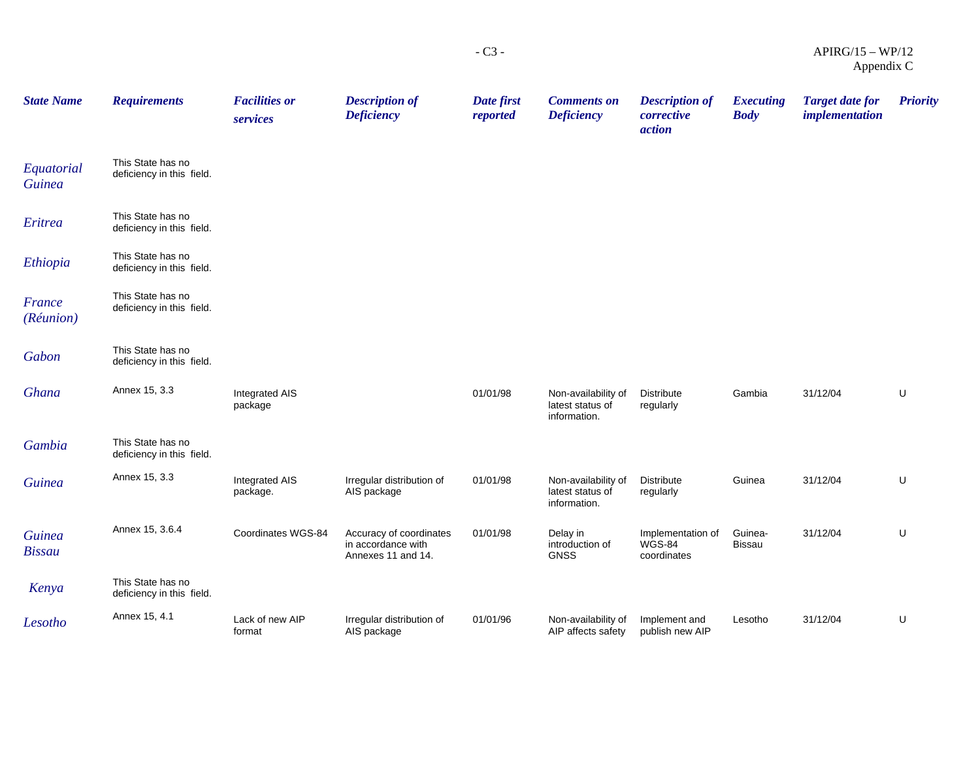| <b>State Name</b>              | <b>Requirements</b>                            | <b>Facilities or</b><br>services | <b>Description of</b><br><b>Deficiency</b>                          | Date first<br>reported | <b>Comments on</b><br><b>Deficiency</b>                 | <b>Description of</b><br>corrective<br>action     | <b>Executing</b><br><b>Body</b> | <b>Target date for</b><br><i>implementation</i> | <b>Priority</b> |
|--------------------------------|------------------------------------------------|----------------------------------|---------------------------------------------------------------------|------------------------|---------------------------------------------------------|---------------------------------------------------|---------------------------------|-------------------------------------------------|-----------------|
| Equatorial<br><b>Guinea</b>    | This State has no<br>deficiency in this field. |                                  |                                                                     |                        |                                                         |                                                   |                                 |                                                 |                 |
| Eritrea                        | This State has no<br>deficiency in this field. |                                  |                                                                     |                        |                                                         |                                                   |                                 |                                                 |                 |
| Ethiopia                       | This State has no<br>deficiency in this field. |                                  |                                                                     |                        |                                                         |                                                   |                                 |                                                 |                 |
| <b>France</b><br>(Réunion)     | This State has no<br>deficiency in this field. |                                  |                                                                     |                        |                                                         |                                                   |                                 |                                                 |                 |
| Gabon                          | This State has no<br>deficiency in this field. |                                  |                                                                     |                        |                                                         |                                                   |                                 |                                                 |                 |
| Ghana                          | Annex 15, 3.3                                  | Integrated AIS<br>package        |                                                                     | 01/01/98               | Non-availability of<br>latest status of<br>information. | <b>Distribute</b><br>regularly                    | Gambia                          | 31/12/04                                        | U               |
| Gambia                         | This State has no<br>deficiency in this field. |                                  |                                                                     |                        |                                                         |                                                   |                                 |                                                 |                 |
| <b>Guinea</b>                  | Annex 15, 3.3                                  | Integrated AIS<br>package.       | Irregular distribution of<br>AIS package                            | 01/01/98               | Non-availability of<br>latest status of<br>information. | <b>Distribute</b><br>regularly                    | Guinea                          | 31/12/04                                        | U               |
| <b>Guinea</b><br><b>Bissau</b> | Annex 15, 3.6.4                                | Coordinates WGS-84               | Accuracy of coordinates<br>in accordance with<br>Annexes 11 and 14. | 01/01/98               | Delay in<br>introduction of<br><b>GNSS</b>              | Implementation of<br><b>WGS-84</b><br>coordinates | Guinea-<br>Bissau               | 31/12/04                                        | U               |
| Kenya                          | This State has no<br>deficiency in this field. |                                  |                                                                     |                        |                                                         |                                                   |                                 |                                                 |                 |
| Lesotho                        | Annex 15, 4.1                                  | Lack of new AIP<br>format        | Irregular distribution of<br>AIS package                            | 01/01/96               | Non-availability of<br>AIP affects safety               | Implement and<br>publish new AIP                  | Lesotho                         | 31/12/04                                        | U               |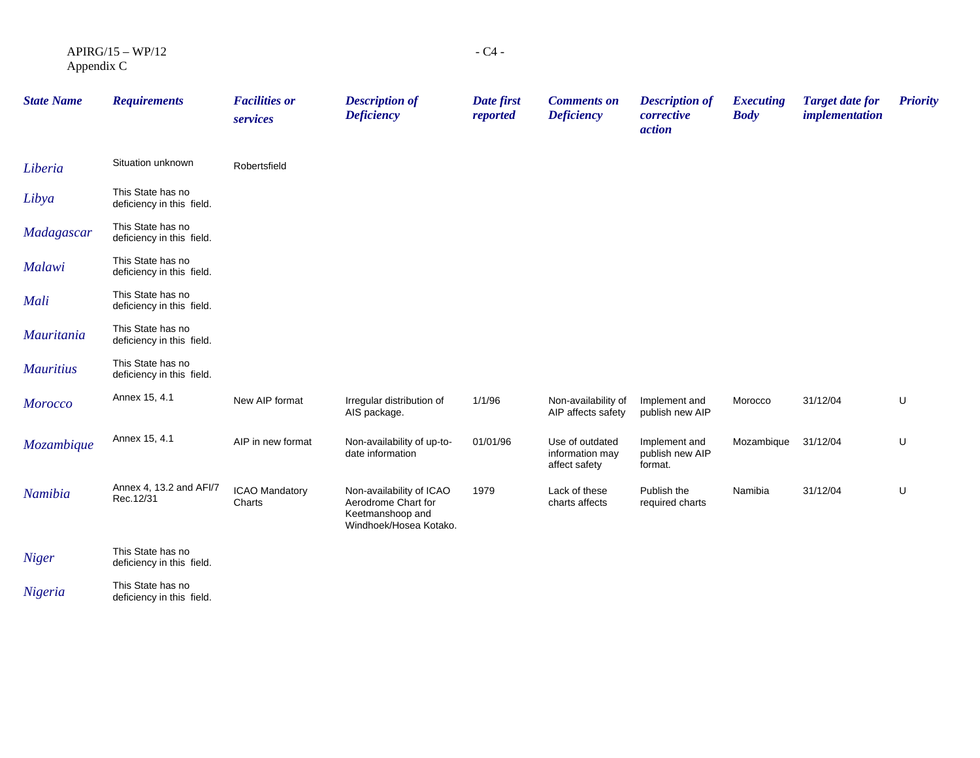| $APIRG/15 - WP/12$ | $-C4-$ |
|--------------------|--------|
| Appendix C         |        |

| <b>State Name</b> | <b>Requirements</b>                            | <b>Facilities or</b><br>services | <b>Description of</b><br><b>Deficiency</b>                                                    | Date first<br>reported | <b>Comments on</b><br><b>Deficiency</b>             | <b>Description of</b><br>corrective<br>action | <b>Executing</b><br><b>Body</b> | <b>Target date for</b><br><i>implementation</i> | <b>Priority</b> |
|-------------------|------------------------------------------------|----------------------------------|-----------------------------------------------------------------------------------------------|------------------------|-----------------------------------------------------|-----------------------------------------------|---------------------------------|-------------------------------------------------|-----------------|
| Liberia           | Situation unknown                              | Robertsfield                     |                                                                                               |                        |                                                     |                                               |                                 |                                                 |                 |
| Libya             | This State has no<br>deficiency in this field. |                                  |                                                                                               |                        |                                                     |                                               |                                 |                                                 |                 |
| Madagascar        | This State has no<br>deficiency in this field. |                                  |                                                                                               |                        |                                                     |                                               |                                 |                                                 |                 |
| <b>Malawi</b>     | This State has no<br>deficiency in this field. |                                  |                                                                                               |                        |                                                     |                                               |                                 |                                                 |                 |
| Mali              | This State has no<br>deficiency in this field. |                                  |                                                                                               |                        |                                                     |                                               |                                 |                                                 |                 |
| <i>Mauritania</i> | This State has no<br>deficiency in this field. |                                  |                                                                                               |                        |                                                     |                                               |                                 |                                                 |                 |
| <b>Mauritius</b>  | This State has no<br>deficiency in this field. |                                  |                                                                                               |                        |                                                     |                                               |                                 |                                                 |                 |
| <b>Morocco</b>    | Annex 15, 4.1                                  | New AIP format                   | Irregular distribution of<br>AIS package.                                                     | 1/1/96                 | Non-availability of<br>AIP affects safety           | Implement and<br>publish new AIP              | Morocco                         | 31/12/04                                        | U               |
| Mozambique        | Annex 15, 4.1                                  | AIP in new format                | Non-availability of up-to-<br>date information                                                | 01/01/96               | Use of outdated<br>information may<br>affect safety | Implement and<br>publish new AIP<br>format.   | Mozambique                      | 31/12/04                                        | U               |
| Namibia           | Annex 4, 13.2 and AFI/7<br>Rec.12/31           | ICAO Mandatory<br>Charts         | Non-availability of ICAO<br>Aerodrome Chart for<br>Keetmanshoop and<br>Windhoek/Hosea Kotako. | 1979                   | Lack of these<br>charts affects                     | Publish the<br>required charts                | Namibia                         | 31/12/04                                        | U               |
| Niger             | This State has no<br>deficiency in this field. |                                  |                                                                                               |                        |                                                     |                                               |                                 |                                                 |                 |
|                   |                                                |                                  |                                                                                               |                        |                                                     |                                               |                                 |                                                 |                 |

*Nigeria* This State has no<br>deficiency in this field.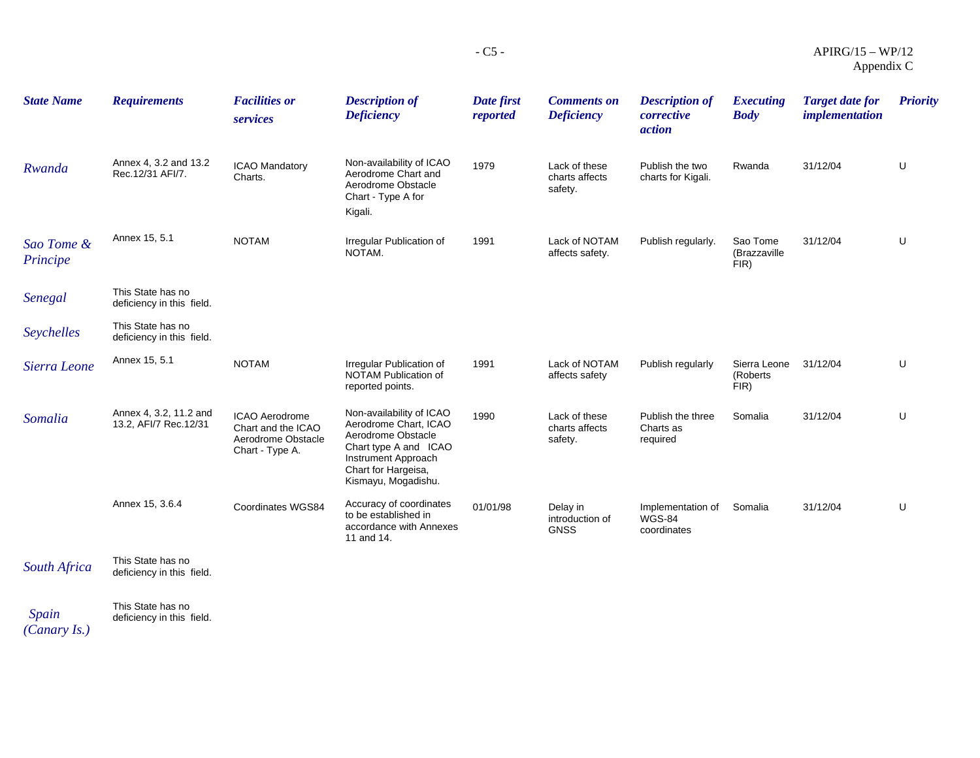| <b>State Name</b>      | <b>Requirements</b>                             | <b>Facilities or</b><br>services                                              | <b>Description of</b><br><b>Deficiency</b>                                                                                                                            | Date first<br>reported | <b>Comments on</b><br><b>Deficiency</b>    | <b>Description of</b><br>corrective<br>action     | <b>Executing</b><br><b>Body</b>  | <b>Target date for</b><br><i>implementation</i> | <b>Priority</b> |
|------------------------|-------------------------------------------------|-------------------------------------------------------------------------------|-----------------------------------------------------------------------------------------------------------------------------------------------------------------------|------------------------|--------------------------------------------|---------------------------------------------------|----------------------------------|-------------------------------------------------|-----------------|
| Rwanda                 | Annex 4, 3.2 and 13.2<br>Rec.12/31 AFI/7.       | ICAO Mandatory<br>Charts.                                                     | Non-availability of ICAO<br>Aerodrome Chart and<br>Aerodrome Obstacle<br>Chart - Type A for<br>Kigali.                                                                | 1979                   | Lack of these<br>charts affects<br>safety. | Publish the two<br>charts for Kigali.             | Rwanda                           | 31/12/04                                        | U               |
| Sao Tome &<br>Principe | Annex 15, 5.1                                   | <b>NOTAM</b>                                                                  | Irregular Publication of<br>NOTAM.                                                                                                                                    | 1991                   | Lack of NOTAM<br>affects safety.           | Publish regularly.                                | Sao Tome<br>(Brazzaville<br>FIR) | 31/12/04                                        | U               |
| Senegal                | This State has no<br>deficiency in this field.  |                                                                               |                                                                                                                                                                       |                        |                                            |                                                   |                                  |                                                 |                 |
| Seychelles             | This State has no<br>deficiency in this field.  |                                                                               |                                                                                                                                                                       |                        |                                            |                                                   |                                  |                                                 |                 |
| Sierra Leone           | Annex 15, 5.1                                   | <b>NOTAM</b>                                                                  | Irregular Publication of<br><b>NOTAM Publication of</b><br>reported points.                                                                                           | 1991                   | Lack of NOTAM<br>affects safety            | Publish regularly                                 | Sierra Leone<br>(Roberts<br>FIR) | 31/12/04                                        | U               |
| Somalia                | Annex 4, 3.2, 11.2 and<br>13.2, AFI/7 Rec.12/31 | ICAO Aerodrome<br>Chart and the ICAO<br>Aerodrome Obstacle<br>Chart - Type A. | Non-availability of ICAO<br>Aerodrome Chart, ICAO<br>Aerodrome Obstacle<br>Chart type A and ICAO<br>Instrument Approach<br>Chart for Hargeisa,<br>Kismayu, Mogadishu. | 1990                   | Lack of these<br>charts affects<br>safety. | Publish the three<br>Charts as<br>required        | Somalia                          | 31/12/04                                        | U               |
|                        | Annex 15, 3.6.4                                 | Coordinates WGS84                                                             | Accuracy of coordinates<br>to be established in<br>accordance with Annexes<br>11 and 14.                                                                              | 01/01/98               | Delay in<br>introduction of<br><b>GNSS</b> | Implementation of<br><b>WGS-84</b><br>coordinates | Somalia                          | 31/12/04                                        | U               |
| South Africa           | This State has no<br>deficiency in this field.  |                                                                               |                                                                                                                                                                       |                        |                                            |                                                   |                                  |                                                 |                 |
|                        | This State has no                               |                                                                               |                                                                                                                                                                       |                        |                                            |                                                   |                                  |                                                 |                 |

*Spain*  This State has no deficiency in this field.

*(Canary Is.)*